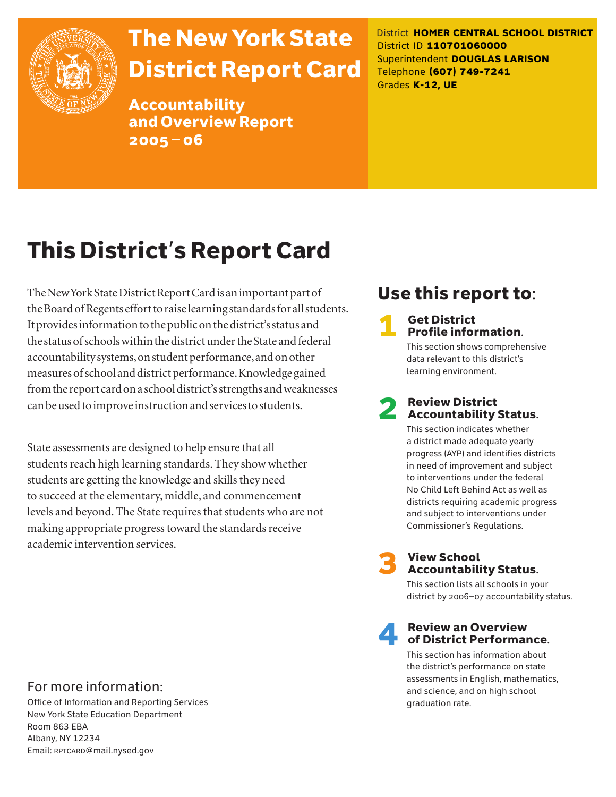

# The New York State District Report Card

Accountability and Overview Report 2005–06

District **HOMER CENTRAL SCHOOL DISTRICT** District ID **110701060000** Superintendent **DOUGLAS LARISON** Telephone **(607) 749-7241** Grades **K-12, UE**

# This District's Report Card

The New York State District Report Card is an important part of the Board of Regents effort to raise learning standards for all students. It provides information to the public on the district's status and the status of schools within the district under the State and federal accountability systems, on student performance, and on other measures of school and district performance. Knowledge gained from the report card on a school district's strengths and weaknesses can be used to improve instruction and services to students.

State assessments are designed to help ensure that all students reach high learning standards. They show whether students are getting the knowledge and skills they need to succeed at the elementary, middle, and commencement levels and beyond. The State requires that students who are not making appropriate progress toward the standards receive academic intervention services.

## Use this report to:

# **1** Get District<br>**Profile information.**

This section shows comprehensive data relevant to this district's learning environment.

# **2** Review District<br>Accountability Status.

This section indicates whether a district made adequate yearly progress (AYP) and identifies districts in need of improvement and subject to interventions under the federal No Child Left Behind Act as well as districts requiring academic progress and subject to interventions under Commissioner's Regulations.



# **3** View School<br>Accountability Status.

This section lists all schools in your district by 2006–07 accountability status.

# **A** Review an Overview<br>
of District Performance.

This section has information about the district's performance on state assessments in English, mathematics, and science, and on high school graduation rate.

## For more information:

Office of Information and Reporting Services New York State Education Department Room 863 EBA Albany, NY 12234 Email: RPTCARD@mail.nysed.gov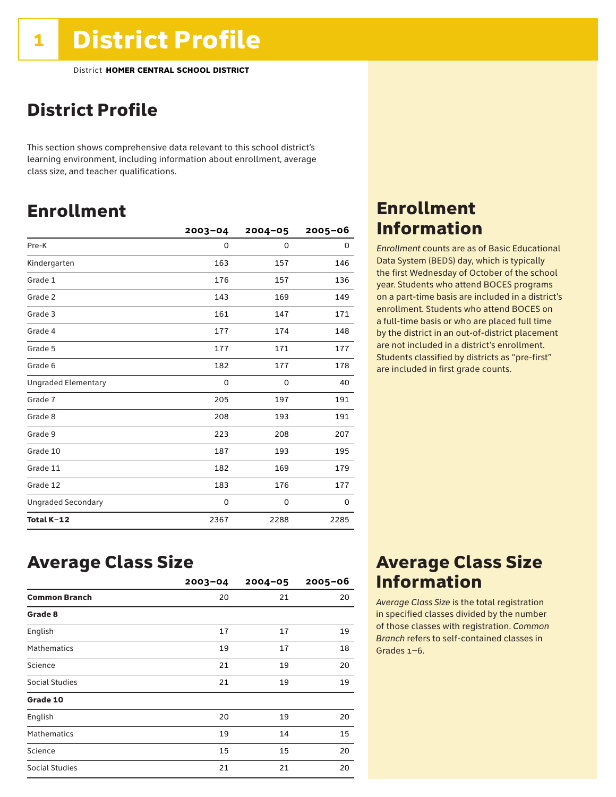## District Profile

This section shows comprehensive data relevant to this school district's learning environment, including information about enrollment, average class size, and teacher qualifications.

## Enrollment

|                            | $2003 - 04$ | $2004 - 05$ | $2005 - 06$ |
|----------------------------|-------------|-------------|-------------|
| Pre-K                      | 0           | 0           | 0           |
| Kindergarten               | 163         | 157         | 146         |
| Grade 1                    | 176         | 157         | 136         |
| Grade 2                    | 143         | 169         | 149         |
| Grade 3                    | 161         | 147         | 171         |
| Grade 4                    | 177         | 174         | 148         |
| Grade 5                    | 177         | 171         | 177         |
| Grade 6                    | 182         | 177         | 178         |
| <b>Ungraded Elementary</b> | 0           | 0           | 40          |
| Grade 7                    | 205         | 197         | 191         |
| Grade 8                    | 208         | 193         | 191         |
| Grade 9                    | 223         | 208         | 207         |
| Grade 10                   | 187         | 193         | 195         |
| Grade 11                   | 182         | 169         | 179         |
| Grade 12                   | 183         | 176         | 177         |
| <b>Ungraded Secondary</b>  | 0           | 0           | 0           |
| Total K-12                 | 2367        | 2288        | 2285        |

## Enrollment Information

*Enrollment* counts are as of Basic Educational Data System (BEDS) day, which is typically the first Wednesday of October of the school year. Students who attend BOCES programs on a part-time basis are included in a district's enrollment. Students who attend BOCES on a full-time basis or who are placed full time by the district in an out-of-district placement are not included in a district's enrollment. Students classified by districts as "pre-first" are included in first grade counts.

## Average Class Size

|                       | $2003 - 04$ | $2004 - 05$ | $2005 - 06$ |
|-----------------------|-------------|-------------|-------------|
| <b>Common Branch</b>  | 20          | 21          | 20          |
| Grade 8               |             |             |             |
| English               | 17          | 17          | 19          |
| <b>Mathematics</b>    | 19          | 17          | 18          |
| Science               | 21          | 19          | 20          |
| <b>Social Studies</b> | 21          | 19          | 19          |
| Grade 10              |             |             |             |
| English               | 20          | 19          | 20          |
| <b>Mathematics</b>    | 19          | 14          | 15          |
| Science               | 15          | 15          | 20          |
| <b>Social Studies</b> | 21          | 21          | 20          |

## Average Class Size Information

*Average Class Size* is the total registration in specified classes divided by the number of those classes with registration. *Common Branch* refers to self-contained classes in Grades 1–6.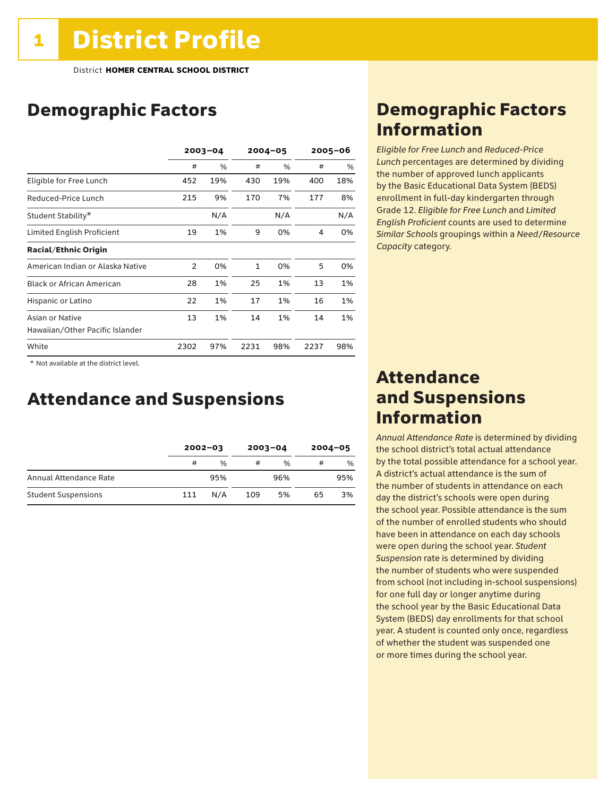## Demographic Factors

|                                                    |                | $2003 - 04$ |              | $2004 - 05$ |      | $2005 - 06$ |  |
|----------------------------------------------------|----------------|-------------|--------------|-------------|------|-------------|--|
|                                                    | #              | %           | #            | %           | #    | %           |  |
| Eligible for Free Lunch                            | 452            | 19%         | 430          | 19%         | 400  | 18%         |  |
| Reduced-Price Lunch                                | 215            | 9%          | 170          | 7%          | 177  | 8%          |  |
| Student Stability*                                 |                | N/A         |              | N/A         |      | N/A         |  |
| Limited English Proficient                         | 19             | 1%          | 9            | 0%          | 4    | 0%          |  |
| <b>Racial/Ethnic Origin</b>                        |                |             |              |             |      |             |  |
| American Indian or Alaska Native                   | $\overline{2}$ | 0%          | $\mathbf{1}$ | 0%          | 5    | 0%          |  |
| <b>Black or African American</b>                   | 28             | 1%          | 25           | 1%          | 13   | 1%          |  |
| Hispanic or Latino                                 | 22             | 1%          | 17           | 1%          | 16   | 1%          |  |
| Asian or Native<br>Hawaiian/Other Pacific Islander | 13             | 1%          | 14           | 1%          | 14   | 1%          |  |
| White                                              | 2302           | 97%         | 2231         | 98%         | 2237 | 98%         |  |

 \* Not available at the district level.

## Attendance and Suspensions

|                            |     | $2002 - 03$   |     | $2003 - 04$   | $2004 - 05$ |     |
|----------------------------|-----|---------------|-----|---------------|-------------|-----|
|                            | #   | $\frac{0}{0}$ | #   | $\frac{0}{6}$ | #           | %   |
| Annual Attendance Rate     |     | 95%           |     | 96%           |             | 95% |
| <b>Student Suspensions</b> | 111 | N/A           | 109 | 5%            | 65          | 3%  |

## Demographic Factors Information

*Eligible for Free Lunch* and *Reduced*-*Price Lunch* percentages are determined by dividing the number of approved lunch applicants by the Basic Educational Data System (BEDS) enrollment in full-day kindergarten through Grade 12. *Eligible for Free Lunch* and *Limited English Proficient* counts are used to determine *Similar Schools* groupings within a *Need*/*Resource Capacity* category.

## Attendance and Suspensions Information

*Annual Attendance Rate* is determined by dividing the school district's total actual attendance by the total possible attendance for a school year. A district's actual attendance is the sum of the number of students in attendance on each day the district's schools were open during the school year. Possible attendance is the sum of the number of enrolled students who should have been in attendance on each day schools were open during the school year. *Student Suspension* rate is determined by dividing the number of students who were suspended from school (not including in-school suspensions) for one full day or longer anytime during the school year by the Basic Educational Data System (BEDS) day enrollments for that school year. A student is counted only once, regardless of whether the student was suspended one or more times during the school year.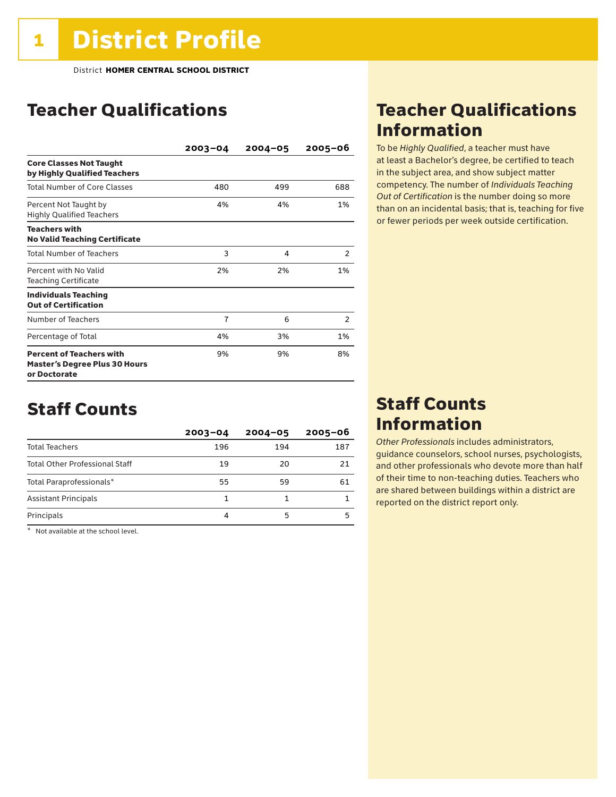## Teacher Qualifications

|                                                                                         | $2003 - 04$    | $2004 - 05$ | 2005-06 |
|-----------------------------------------------------------------------------------------|----------------|-------------|---------|
| <b>Core Classes Not Taught</b><br>by Highly Qualified Teachers                          |                |             |         |
| <b>Total Number of Core Classes</b>                                                     | 480            | 499         | 688     |
| Percent Not Taught by<br><b>Highly Qualified Teachers</b>                               | 4%             | 4%          | 1%      |
| <b>Teachers with</b><br><b>No Valid Teaching Certificate</b>                            |                |             |         |
| <b>Total Number of Teachers</b>                                                         | 3              | 4           | 2       |
| Percent with No Valid<br><b>Teaching Certificate</b>                                    | 2%             | 2%          | 1%      |
| <b>Individuals Teaching</b><br><b>Out of Certification</b>                              |                |             |         |
| Number of Teachers                                                                      | $\overline{7}$ | 6           | 2       |
| Percentage of Total                                                                     | 4%             | 3%          | 1%      |
| <b>Percent of Teachers with</b><br><b>Master's Degree Plus 30 Hours</b><br>or Doctorate | 9%             | 9%          | 8%      |

## Staff Counts

|                                       | $2003 - 04$ | $2004 - 05$ | $2005 - 06$ |
|---------------------------------------|-------------|-------------|-------------|
| <b>Total Teachers</b>                 | 196         | 194         | 187         |
| <b>Total Other Professional Staff</b> | 19          | 20          | 21          |
| Total Paraprofessionals*              | 55          | 59          | 61          |
| <b>Assistant Principals</b>           |             |             |             |
| Principals                            | 4           | 5           |             |

\* Not available at the school level.

## Teacher Qualifications Information

To be *Highly Qualified*, a teacher must have at least a Bachelor's degree, be certified to teach in the subject area, and show subject matter competency. The number of *Individuals Teaching Out of Certification* is the number doing so more than on an incidental basis; that is, teaching for five or fewer periods per week outside certification.

## Staff Counts Information

*Other Professionals* includes administrators, guidance counselors, school nurses, psychologists, and other professionals who devote more than half of their time to non-teaching duties. Teachers who are shared between buildings within a district are reported on the district report only.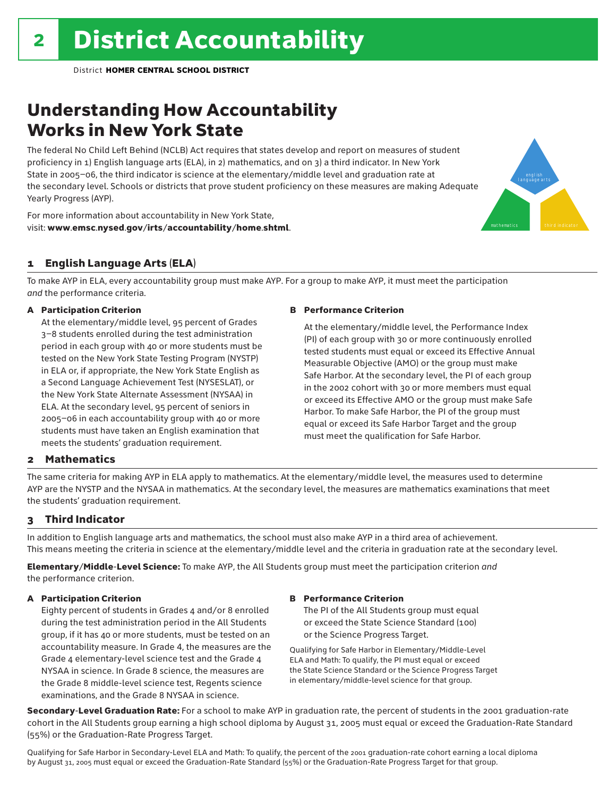## Understanding How Accountability Works in New York State

The federal No Child Left Behind (NCLB) Act requires that states develop and report on measures of student proficiency in 1) English language arts (ELA), in 2) mathematics, and on 3) a third indicator. In New York State in 2005–06, the third indicator is science at the elementary/middle level and graduation rate at the secondary level. Schools or districts that prove student proficiency on these measures are making Adequate Yearly Progress (AYP).

For more information about accountability in New York State, visit: www.emsc.nysed.gov/irts/accountability/home.shtml.

### 1 English Language Arts (ELA)

To make AYP in ELA, every accountability group must make AYP. For a group to make AYP, it must meet the participation *and* the performance criteria.

### A Participation Criterion

At the elementary/middle level, 95 percent of Grades 3–8 students enrolled during the test administration period in each group with 40 or more students must be tested on the New York State Testing Program (NYSTP) in ELA or, if appropriate, the New York State English as a Second Language Achievement Test (NYSESLAT), or the New York State Alternate Assessment (NYSAA) in ELA. At the secondary level, 95 percent of seniors in 2005–06 in each accountability group with 40 or more students must have taken an English examination that meets the students' graduation requirement.

### B Performance Criterion

At the elementary/middle level, the Performance Index (PI) of each group with 30 or more continuously enrolled tested students must equal or exceed its Effective Annual Measurable Objective (AMO) or the group must make Safe Harbor. At the secondary level, the PI of each group in the 2002 cohort with 30 or more members must equal or exceed its Effective AMO or the group must make Safe Harbor. To make Safe Harbor, the PI of the group must equal or exceed its Safe Harbor Target and the group must meet the qualification for Safe Harbor.

english language arts

mathematics **third indicator** 

### 2 Mathematics

The same criteria for making AYP in ELA apply to mathematics. At the elementary/middle level, the measures used to determine AYP are the NYSTP and the NYSAA in mathematics. At the secondary level, the measures are mathematics examinations that meet the students' graduation requirement.

### 3 Third Indicator

In addition to English language arts and mathematics, the school must also make AYP in a third area of achievement. This means meeting the criteria in science at the elementary/middle level and the criteria in graduation rate at the secondary level.

Elementary/Middle-Level Science: To make AYP, the All Students group must meet the participation criterion *and* the performance criterion.

### A Participation Criterion

Eighty percent of students in Grades 4 and/or 8 enrolled during the test administration period in the All Students group, if it has 40 or more students, must be tested on an accountability measure. In Grade 4, the measures are the Grade 4 elementary-level science test and the Grade 4 NYSAA in science. In Grade 8 science, the measures are the Grade 8 middle-level science test, Regents science examinations, and the Grade 8 NYSAA in science.

### B Performance Criterion

The PI of the All Students group must equal or exceed the State Science Standard (100) or the Science Progress Target.

Qualifying for Safe Harbor in Elementary/Middle-Level ELA and Math: To qualify, the PI must equal or exceed the State Science Standard or the Science Progress Target in elementary/middle-level science for that group.

Secondary-Level Graduation Rate: For a school to make AYP in graduation rate, the percent of students in the 2001 graduation-rate cohort in the All Students group earning a high school diploma by August 31, 2005 must equal or exceed the Graduation-Rate Standard (55%) or the Graduation-Rate Progress Target.

Qualifying for Safe Harbor in Secondary-Level ELA and Math: To qualify, the percent of the 2001 graduation-rate cohort earning a local diploma by August 31, 2005 must equal or exceed the Graduation-Rate Standard (55%) or the Graduation-Rate Progress Target for that group.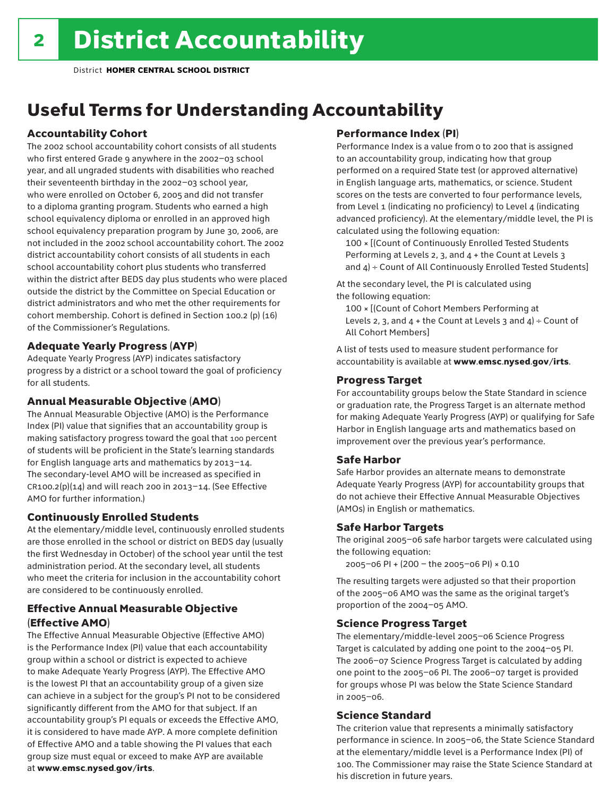## Useful Terms for Understanding Accountability

### Accountability Cohort

The 2002 school accountability cohort consists of all students who first entered Grade 9 anywhere in the 2002–03 school year, and all ungraded students with disabilities who reached their seventeenth birthday in the 2002–03 school year, who were enrolled on October 6, 2005 and did not transfer to a diploma granting program. Students who earned a high school equivalency diploma or enrolled in an approved high school equivalency preparation program by June 30, 2006, are not included in the 2002 school accountability cohort. The 2002 district accountability cohort consists of all students in each school accountability cohort plus students who transferred within the district after BEDS day plus students who were placed outside the district by the Committee on Special Education or district administrators and who met the other requirements for cohort membership. Cohort is defined in Section 100.2 (p) (16) of the Commissioner's Regulations.

### Adequate Yearly Progress (AYP)

Adequate Yearly Progress (AYP) indicates satisfactory progress by a district or a school toward the goal of proficiency for all students.

### Annual Measurable Objective (AMO)

The Annual Measurable Objective (AMO) is the Performance Index (PI) value that signifies that an accountability group is making satisfactory progress toward the goal that 100 percent of students will be proficient in the State's learning standards for English language arts and mathematics by 2013–14. The secondary-level AMO will be increased as specified in  $CR100.2(p)(14)$  and will reach 200 in 2013-14. (See Effective AMO for further information.)

### Continuously Enrolled Students

At the elementary/middle level, continuously enrolled students are those enrolled in the school or district on BEDS day (usually the first Wednesday in October) of the school year until the test administration period. At the secondary level, all students who meet the criteria for inclusion in the accountability cohort are considered to be continuously enrolled.

### Effective Annual Measurable Objective (Effective AMO)

The Effective Annual Measurable Objective (Effective AMO) is the Performance Index (PI) value that each accountability group within a school or district is expected to achieve to make Adequate Yearly Progress (AYP). The Effective AMO is the lowest PI that an accountability group of a given size can achieve in a subject for the group's PI not to be considered significantly different from the AMO for that subject. If an accountability group's PI equals or exceeds the Effective AMO, it is considered to have made AYP. A more complete definition of Effective AMO and a table showing the PI values that each group size must equal or exceed to make AYP are available at www.emsc.nysed.gov/irts.

### Performance Index (PI)

Performance Index is a value from 0 to 200 that is assigned to an accountability group, indicating how that group performed on a required State test (or approved alternative) in English language arts, mathematics, or science. Student scores on the tests are converted to four performance levels, from Level 1 (indicating no proficiency) to Level 4 (indicating advanced proficiency). At the elementary/middle level, the PI is calculated using the following equation:

100 × [(Count of Continuously Enrolled Tested Students Performing at Levels 2, 3, and 4 + the Count at Levels 3 and  $4$ ) ÷ Count of All Continuously Enrolled Tested Students]

At the secondary level, the PI is calculated using the following equation:

100 × [(Count of Cohort Members Performing at Levels 2, 3, and  $4 +$  the Count at Levels 3 and  $4$ ) ÷ Count of All Cohort Members]

A list of tests used to measure student performance for accountability is available at www.emsc.nysed.gov/irts.

### Progress Target

For accountability groups below the State Standard in science or graduation rate, the Progress Target is an alternate method for making Adequate Yearly Progress (AYP) or qualifying for Safe Harbor in English language arts and mathematics based on improvement over the previous year's performance.

### Safe Harbor

Safe Harbor provides an alternate means to demonstrate Adequate Yearly Progress (AYP) for accountability groups that do not achieve their Effective Annual Measurable Objectives (AMOs) in English or mathematics.

### Safe Harbor Targets

The original 2005–06 safe harbor targets were calculated using the following equation:

2005–06 PI + (200 – the 2005–06 PI) × 0.10

The resulting targets were adjusted so that their proportion of the 2005–06 AMO was the same as the original target's proportion of the 2004–05 AMO.

### Science Progress Target

The elementary/middle-level 2005–06 Science Progress Target is calculated by adding one point to the 2004–05 PI. The 2006–07 Science Progress Target is calculated by adding one point to the 2005–06 PI. The 2006–07 target is provided for groups whose PI was below the State Science Standard in 2005–06.

### Science Standard

The criterion value that represents a minimally satisfactory performance in science. In 2005–06, the State Science Standard at the elementary/middle level is a Performance Index (PI) of 100. The Commissioner may raise the State Science Standard at his discretion in future years.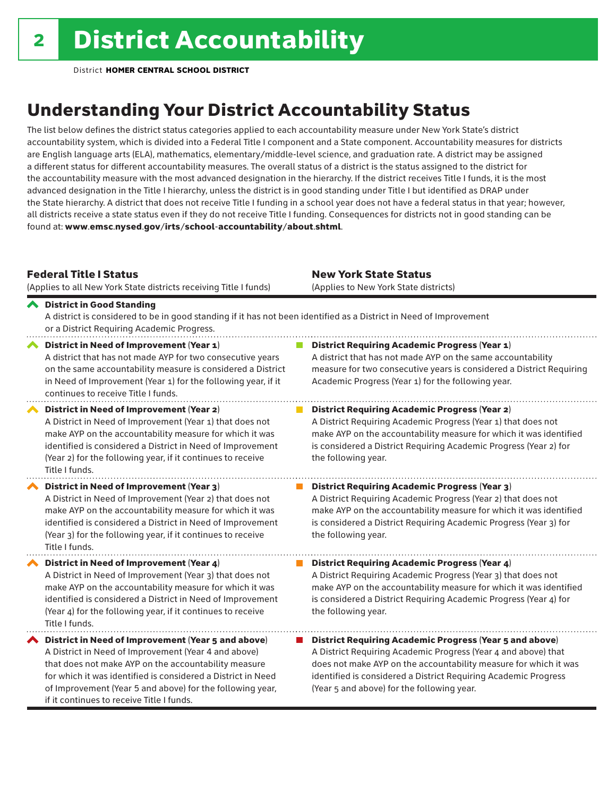## Understanding Your District Accountability Status

The list below defines the district status categories applied to each accountability measure under New York State's district accountability system, which is divided into a Federal Title I component and a State component. Accountability measures for districts are English language arts (ELA), mathematics, elementary/middle-level science, and graduation rate. A district may be assigned a different status for different accountability measures. The overall status of a district is the status assigned to the district for the accountability measure with the most advanced designation in the hierarchy. If the district receives Title I funds, it is the most advanced designation in the Title I hierarchy, unless the district is in good standing under Title I but identified as DRAP under the State hierarchy. A district that does not receive Title I funding in a school year does not have a federal status in that year; however, all districts receive a state status even if they do not receive Title I funding. Consequences for districts not in good standing can be found at: www.emsc.nysed.gov/irts/school-accountability/about.shtml.

### Federal Title I Status

New York State Status

|   | (Applies to all New York State districts receiving Title I funds)                                                                                                                                                                                                                                                                            | (Applies to New York State districts)                                                                                                                                                                                                                                                                                 |
|---|----------------------------------------------------------------------------------------------------------------------------------------------------------------------------------------------------------------------------------------------------------------------------------------------------------------------------------------------|-----------------------------------------------------------------------------------------------------------------------------------------------------------------------------------------------------------------------------------------------------------------------------------------------------------------------|
|   | ← District in Good Standing<br>A district is considered to be in good standing if it has not been identified as a District in Need of Improvement<br>or a District Requiring Academic Progress.                                                                                                                                              |                                                                                                                                                                                                                                                                                                                       |
|   | District in Need of Improvement (Year 1)<br>A district that has not made AYP for two consecutive years<br>on the same accountability measure is considered a District<br>in Need of Improvement (Year 1) for the following year, if it<br>continues to receive Title I funds.                                                                | <b>District Requiring Academic Progress (Year 1)</b><br>A district that has not made AYP on the same accountability<br>measure for two consecutive years is considered a District Requiring<br>Academic Progress (Year 1) for the following year.                                                                     |
|   | <b>District in Need of Improvement (Year 2)</b><br>A District in Need of Improvement (Year 1) that does not<br>make AYP on the accountability measure for which it was<br>identified is considered a District in Need of Improvement<br>(Year 2) for the following year, if it continues to receive<br>Title I funds.                        | <b>District Requiring Academic Progress (Year 2)</b><br>A District Requiring Academic Progress (Year 1) that does not<br>make AYP on the accountability measure for which it was identified<br>is considered a District Requiring Academic Progress (Year 2) for<br>the following year.                               |
|   | District in Need of Improvement (Year 3)<br>A District in Need of Improvement (Year 2) that does not<br>make AYP on the accountability measure for which it was<br>identified is considered a District in Need of Improvement<br>(Year 3) for the following year, if it continues to receive<br>Title I funds.                               | <b>District Requiring Academic Progress (Year 3)</b><br>A District Requiring Academic Progress (Year 2) that does not<br>make AYP on the accountability measure for which it was identified<br>is considered a District Requiring Academic Progress (Year 3) for<br>the following year.                               |
|   | District in Need of Improvement (Year 4)<br>A District in Need of Improvement (Year 3) that does not<br>make AYP on the accountability measure for which it was<br>identified is considered a District in Need of Improvement<br>(Year 4) for the following year, if it continues to receive<br>Title I funds.                               | District Requiring Academic Progress (Year 4)<br>A District Requiring Academic Progress (Year 3) that does not<br>make AYP on the accountability measure for which it was identified<br>is considered a District Requiring Academic Progress (Year 4) for<br>the following year.                                      |
| ∧ | District in Need of Improvement (Year 5 and above)<br>A District in Need of Improvement (Year 4 and above)<br>that does not make AYP on the accountability measure<br>for which it was identified is considered a District in Need<br>of Improvement (Year 5 and above) for the following year,<br>if it continues to receive Title I funds. | <b>District Requiring Academic Progress (Year 5 and above)</b><br>A District Requiring Academic Progress (Year 4 and above) that<br>does not make AYP on the accountability measure for which it was<br>identified is considered a District Requiring Academic Progress<br>(Year 5 and above) for the following year. |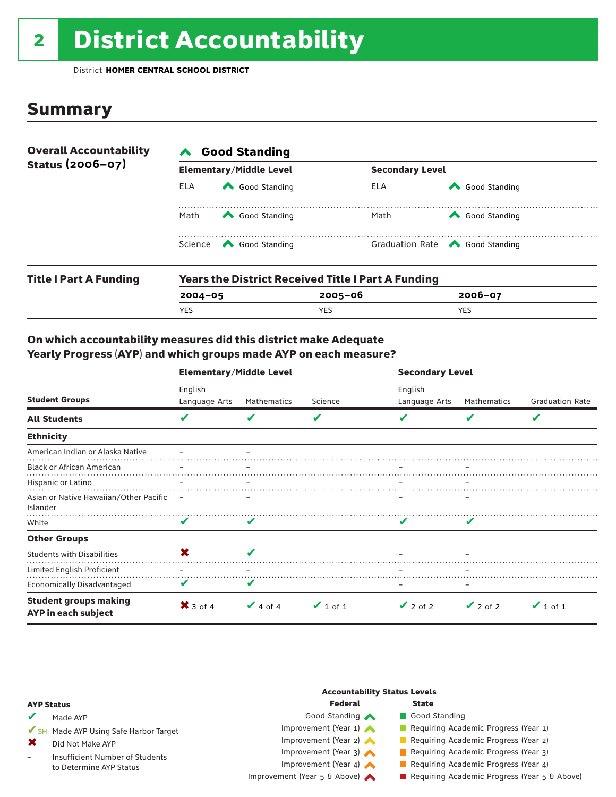# 2 District Accountability

District **HOMER CENTRAL SCHOOL DISTRICT**

## Summary

| <b>Overall Accountability</b> | <b>Good Standing</b> |                                                                                                                                                                                                                                                                                                                                                       |                        |                                       |  |  |  |
|-------------------------------|----------------------|-------------------------------------------------------------------------------------------------------------------------------------------------------------------------------------------------------------------------------------------------------------------------------------------------------------------------------------------------------|------------------------|---------------------------------------|--|--|--|
| Status (2006-07)              |                      | <b>Elementary/Middle Level</b>                                                                                                                                                                                                                                                                                                                        | <b>Secondary Level</b> |                                       |  |  |  |
|                               | ELA                  | Good Standing                                                                                                                                                                                                                                                                                                                                         | ELA                    | Good Standing                         |  |  |  |
|                               | Math                 | Good Standing                                                                                                                                                                                                                                                                                                                                         | Math                   | Good Standing                         |  |  |  |
|                               |                      | Science <a> Science</a> Science Science Science <a> Science <a> Science <a> Science <a> Science <a> Science <a> Science <a> Science <a> Science <a> Science <a> Science <a<br></a<br> Science <a> Science <a> Science <a<br <="" td=""><td></td><td>Graduation Rate <a> Good Standing</a></td></a<br></a></a></a></a></a></a></a></a></a></a></a></a> |                        | Graduation Rate <a> Good Standing</a> |  |  |  |
| <b>Title I Part A Funding</b> |                      | <b>Years the District Received Title I Part A Funding</b>                                                                                                                                                                                                                                                                                             |                        |                                       |  |  |  |

| i ilite i Fai të Fullulliy | <b>IGAIS LIIG DISLIICLAGCGIVGU TILLETTAI LA FUIIUIIIU</b> |             |             |  |  |  |
|----------------------------|-----------------------------------------------------------|-------------|-------------|--|--|--|
|                            | $2004 - 05$                                               | $2005 - 06$ | $2006 - 07$ |  |  |  |
|                            | YES                                                       | <b>YES</b>  | <b>YES</b>  |  |  |  |
|                            |                                                           |             |             |  |  |  |

### On which accountability measures did this district make Adequate Yearly Progress (AYP) and which groups made AYP on each measure?

|                                                     | <b>Elementary/Middle Level</b> |               |               | <b>Secondary Level</b>   |               |                         |  |
|-----------------------------------------------------|--------------------------------|---------------|---------------|--------------------------|---------------|-------------------------|--|
| <b>Student Groups</b>                               | English<br>Language Arts       | Mathematics   | Science       | English<br>Language Arts | Mathematics   | <b>Graduation Rate</b>  |  |
| <b>All Students</b>                                 | V                              | V             | V             | v                        | V             | $\overline{\mathbf{v}}$ |  |
| <b>Ethnicity</b>                                    |                                |               |               |                          |               |                         |  |
| American Indian or Alaska Native                    |                                |               |               |                          |               |                         |  |
| <b>Black or African American</b>                    |                                |               |               |                          |               |                         |  |
| Hispanic or Latino                                  |                                |               |               |                          |               |                         |  |
| Asian or Native Hawaiian/Other Pacific<br>Islander  | $\overline{\phantom{a}}$       |               |               |                          |               |                         |  |
| White                                               | V                              | V             |               |                          | V             |                         |  |
| <b>Other Groups</b>                                 |                                |               |               |                          |               |                         |  |
| <b>Students with Disabilities</b>                   | X                              | V             |               |                          |               |                         |  |
| <b>Limited English Proficient</b>                   |                                |               |               |                          |               |                         |  |
| <b>Economically Disadvantaged</b>                   | V                              | V             |               | -                        |               |                         |  |
| <b>Student groups making</b><br>AYP in each subject | $\mathsf{X}$ 3 of 4            | $\vee$ 4 of 4 | $\vee$ 1 of 1 | $\vee$ 2 of 2            | $\vee$ 2 of 2 | $\vee$ 1 of 1           |  |

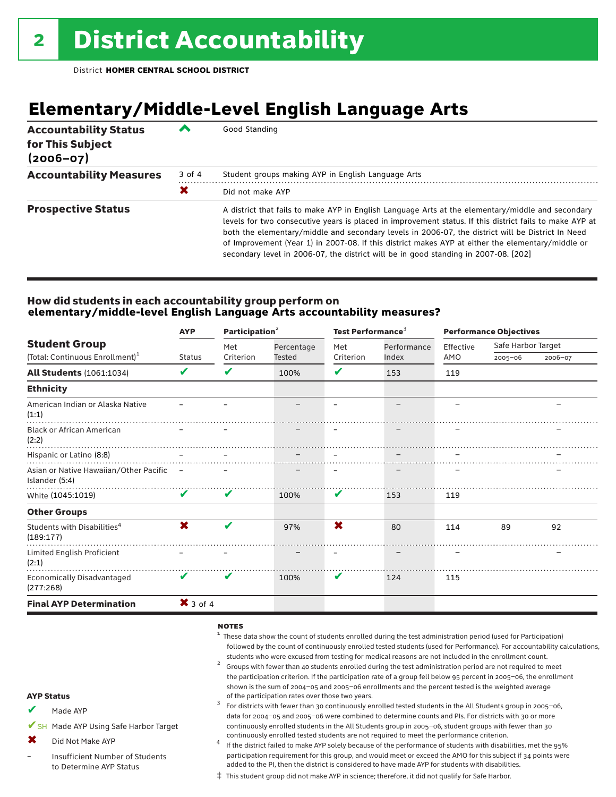## **Elementary/Middle-Level English Language Arts**

| <b>Accountability Status</b><br>for This Subject<br>$(2006 - 07)$ |        | Good Standing                                                                                                                                                                                                                                                                                                                                                                                                                                                                                                 |
|-------------------------------------------------------------------|--------|---------------------------------------------------------------------------------------------------------------------------------------------------------------------------------------------------------------------------------------------------------------------------------------------------------------------------------------------------------------------------------------------------------------------------------------------------------------------------------------------------------------|
| <b>Accountability Measures</b>                                    | 3 of 4 | Student groups making AYP in English Language Arts                                                                                                                                                                                                                                                                                                                                                                                                                                                            |
|                                                                   | Х      | Did not make AYP                                                                                                                                                                                                                                                                                                                                                                                                                                                                                              |
| <b>Prospective Status</b>                                         |        | A district that fails to make AYP in English Language Arts at the elementary/middle and secondary<br>levels for two consecutive years is placed in improvement status. If this district fails to make AYP at<br>both the elementary/middle and secondary levels in 2006-07, the district will be District In Need<br>of Improvement (Year 1) in 2007-08. If this district makes AYP at either the elementary/middle or<br>secondary level in 2006-07, the district will be in good standing in 2007-08. [202] |

### How did students in each accountability group perform on **elementary/middle-level English Language Arts accountability measures?**

|                                                            | <b>AYP</b>          | Participation $2$ |               | Test Performance <sup>3</sup> |             | <b>Performance Objectives</b> |                    |         |
|------------------------------------------------------------|---------------------|-------------------|---------------|-------------------------------|-------------|-------------------------------|--------------------|---------|
| <b>Student Group</b>                                       |                     | Met               | Percentage    | Met                           | Performance | Effective                     | Safe Harbor Target |         |
| (Total: Continuous Enrollment) <sup>1</sup>                | Status              | Criterion         | <b>Tested</b> | Criterion                     | Index       | AMO                           | $2005 - 06$        | 2006-07 |
| <b>All Students (1061:1034)</b>                            | V                   | V                 | 100%          | V                             | 153         | 119                           |                    |         |
| <b>Ethnicity</b>                                           |                     |                   |               |                               |             |                               |                    |         |
| American Indian or Alaska Native<br>(1:1)                  |                     |                   |               |                               |             |                               |                    |         |
| <b>Black or African American</b><br>(2:2)                  |                     |                   |               |                               |             |                               |                    |         |
| Hispanic or Latino (8:8)                                   |                     |                   |               |                               |             |                               |                    |         |
| Asian or Native Hawaiian/Other Pacific –<br>Islander (5:4) |                     |                   |               |                               |             |                               |                    |         |
| White (1045:1019)                                          | V                   | V                 | 100%          | V                             | 153         | 119                           |                    |         |
| <b>Other Groups</b>                                        |                     |                   |               |                               |             |                               |                    |         |
| Students with Disabilities <sup>4</sup><br>(189:177)       | X                   | V                 | 97%           | X                             | 80          | 114                           | 89                 | 92      |
| Limited English Proficient<br>(2:1)                        |                     |                   |               |                               |             |                               |                    |         |
| <b>Economically Disadvantaged</b><br>(277:268)             | V                   | V                 | 100%          | V                             | 124         | 115                           |                    |         |
| <b>Final AYP Determination</b>                             | $\mathsf{X}$ 3 of 4 |                   |               |                               |             |                               |                    |         |

### notes

- $1$  These data show the count of students enrolled during the test administration period (used for Participation) followed by the count of continuously enrolled tested students (used for Performance). For accountability calculations,
- students who were excused from testing for medical reasons are not included in the enrollment count.<br><sup>2</sup> Groups with fewer than 40 students enrolled during the test administration period are not required to meet the participation criterion. If the participation rate of a group fell below 95 percent in 2005–06, the enrollment shown is the sum of 2004–05 and 2005–06 enrollments and the percent tested is the weighted average<br>of the participation rates over those two years.
- of the participation rates over those two years. <sup>3</sup> For districts with fewer than 30 continuously enrolled tested students in the All Students group in 2005–06, data for 2004–05 and 2005–06 were combined to determine counts and PIs. For districts with 30 or more continuously enrolled students in the All Students group in 2005–06, student groups with fewer than 30
- continuously enrolled tested students are not required to meet the performance criterion.<br>If the district failed to make AYP solely because of the performance of students with disabilities, met the 95% participation requirement for this group, and would meet or exceed the AMO for this subject if 34 points were added to the PI, then the district is considered to have made AYP for students with disabilities.
- ‡ This student group did not make AYP in science; therefore, it did not qualify for Safe Harbor.

### AYP Status

- Made AYP ✔
- ✔SH Made AYP Using Safe Harbor Target
- Did Not Make AYP ✖
- Insufficient Number of Students to Determine AYP Status –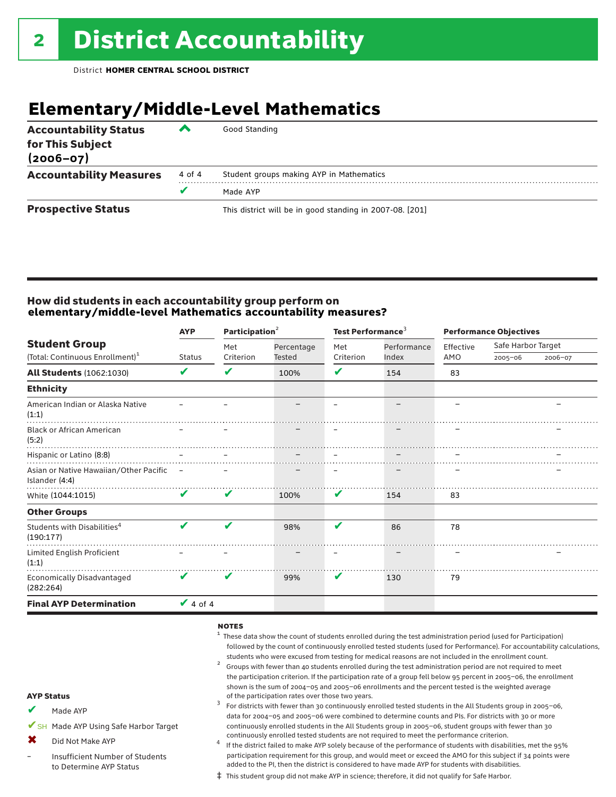## **Elementary/Middle-Level Mathematics**

| <b>Accountability Status</b><br>for This Subject<br>$(2006 - 07)$ | ▰      | Good Standing                                            |
|-------------------------------------------------------------------|--------|----------------------------------------------------------|
| <b>Accountability Measures</b>                                    | 4 of 4 | Student groups making AYP in Mathematics                 |
|                                                                   | v      | Made AYP                                                 |
| <b>Prospective Status</b>                                         |        | This district will be in good standing in 2007-08. [201] |

### How did students in each accountability group perform on **elementary/middle-level Mathematics accountability measures?**

|                                                            | <b>AYP</b>    | Participation <sup>2</sup> |               | Test Performance <sup>3</sup> |             | <b>Performance Objectives</b> |                    |         |
|------------------------------------------------------------|---------------|----------------------------|---------------|-------------------------------|-------------|-------------------------------|--------------------|---------|
| <b>Student Group</b>                                       |               | Met                        | Percentage    | Met                           | Performance | Effective                     | Safe Harbor Target |         |
| (Total: Continuous Enrollment) <sup>1</sup>                | <b>Status</b> | Criterion                  | <b>Tested</b> | Criterion                     | Index       | AMO                           | $2005 - 06$        | 2006-07 |
| <b>All Students (1062:1030)</b>                            | V             | V                          | 100%          | V                             | 154         | 83                            |                    |         |
| <b>Ethnicity</b>                                           |               |                            |               |                               |             |                               |                    |         |
| American Indian or Alaska Native<br>(1:1)                  |               |                            |               |                               |             |                               |                    |         |
| <b>Black or African American</b><br>(5:2)                  |               |                            |               |                               |             |                               |                    |         |
| Hispanic or Latino (8:8)                                   |               |                            |               |                               |             |                               |                    |         |
| Asian or Native Hawaiian/Other Pacific –<br>Islander (4:4) |               |                            |               |                               |             |                               |                    |         |
| White (1044:1015)                                          | V             | V                          | 100%          | V                             | 154         | 83                            |                    |         |
| <b>Other Groups</b>                                        |               |                            |               |                               |             |                               |                    |         |
| Students with Disabilities <sup>4</sup><br>(190:177)       | V             | ✔                          | 98%           | V                             | 86          | 78                            |                    |         |
| Limited English Proficient<br>(1:1)                        |               |                            |               |                               |             |                               |                    |         |
| Economically Disadvantaged<br>(282:264)                    | V             | v                          | 99%           | V                             | 130         | 79                            |                    |         |
| <b>Final AYP Determination</b>                             | $\vee$ 4 of 4 |                            |               |                               |             |                               |                    |         |

### notes

- $1$  These data show the count of students enrolled during the test administration period (used for Participation) followed by the count of continuously enrolled tested students (used for Performance). For accountability calculations,
- students who were excused from testing for medical reasons are not included in the enrollment count.<br><sup>2</sup> Groups with fewer than 40 students enrolled during the test administration period are not required to meet the participation criterion. If the participation rate of a group fell below 95 percent in 2005–06, the enrollment shown is the sum of 2004–05 and 2005–06 enrollments and the percent tested is the weighted average<br>of the participation rates over those two years.
- of the participation rates over those two years. <sup>3</sup> For districts with fewer than 30 continuously enrolled tested students in the All Students group in 2005–06, data for 2004–05 and 2005–06 were combined to determine counts and PIs. For districts with 30 or more continuously enrolled students in the All Students group in 2005–06, student groups with fewer than 30
- continuously enrolled tested students are not required to meet the performance criterion. <sup>4</sup> If the district failed to make AYP solely because of the performance of students with disabilities, met the 95% participation requirement for this group, and would meet or exceed the AMO for this subject if 34 points were added to the PI, then the district is considered to have made AYP for students with disabilities.
- ‡ This student group did not make AYP in science; therefore, it did not qualify for Safe Harbor.

### AYP Status

- Made AYP ✔
- ✔SH Made AYP Using Safe Harbor Target
- Did Not Make AYP  $\mathbf x$
- Insufficient Number of Students to Determine AYP Status –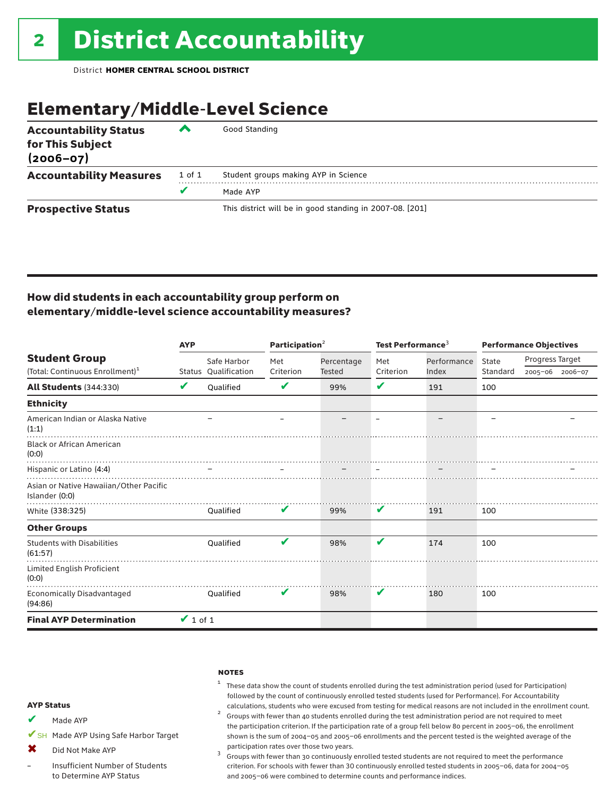## Elementary/Middle-Level Science

| <b>Accountability Status</b><br>for This Subject<br>$(2006 - 07)$ | ◚      | Good Standing                                            |
|-------------------------------------------------------------------|--------|----------------------------------------------------------|
| <b>Accountability Measures</b>                                    | 1 of 1 | Student groups making AYP in Science                     |
|                                                                   | v      | Made AYP                                                 |
| <b>Prospective Status</b>                                         |        | This district will be in good standing in 2007-08. [201] |

### How did students in each accountability group perform on elementary/middle-level science accountability measures?

|                                                          | <b>AYP</b>    |                      | Participation <sup>2</sup> |            | Test Performance <sup>3</sup> |             | <b>Performance Objectives</b> |                 |                 |
|----------------------------------------------------------|---------------|----------------------|----------------------------|------------|-------------------------------|-------------|-------------------------------|-----------------|-----------------|
| <b>Student Group</b>                                     |               | Safe Harbor          | Met                        | Percentage | Met                           | Performance | State                         | Progress Target |                 |
| (Total: Continuous Enrollment) <sup>1</sup>              |               | Status Oualification | Criterion                  | Tested     | Criterion                     | Index       | Standard                      |                 | 2005-06 2006-07 |
| <b>All Students (344:330)</b>                            | V             | Oualified            | V                          | 99%        | V                             | 191         | 100                           |                 |                 |
| <b>Ethnicity</b>                                         |               |                      |                            |            |                               |             |                               |                 |                 |
| American Indian or Alaska Native<br>(1:1)                |               |                      |                            |            |                               |             |                               |                 |                 |
| <b>Black or African American</b><br>(0:0)                |               |                      |                            |            |                               |             |                               |                 |                 |
| Hispanic or Latino (4:4)                                 |               |                      |                            |            |                               |             |                               |                 |                 |
| Asian or Native Hawaiian/Other Pacific<br>Islander (0:0) |               |                      |                            |            |                               |             |                               |                 |                 |
| White (338:325)                                          |               | <b>Oualified</b>     | V                          | 99%        | V                             | 191         | 100                           |                 |                 |
| <b>Other Groups</b>                                      |               |                      |                            |            |                               |             |                               |                 |                 |
| <b>Students with Disabilities</b><br>(61:57)             |               | Oualified            | V                          | 98%        | V                             | 174         | 100                           |                 |                 |
| Limited English Proficient<br>(0:0)                      |               |                      |                            |            |                               |             |                               |                 |                 |
| <b>Economically Disadvantaged</b><br>(94:86)             |               | Oualified            | V                          | 98%        | V                             | 180         | 100                           |                 |                 |
| <b>Final AYP Determination</b>                           | $\vee$ 1 of 1 |                      |                            |            |                               |             |                               |                 |                 |

### **NOTES**

 $1$  These data show the count of students enrolled during the test administration period (used for Participation) followed by the count of continuously enrolled tested students (used for Performance). For Accountability

calculations, students who were excused from testing for medical reasons are not included in the enrollment count.<br><sup>2</sup> Groups with fewer than 40 students enrolled during the test administration period are not required to the participation criterion. If the participation rate of a group fell below 80 percent in 2005–06, the enrollment shown is the sum of 2004–05 and 2005–06 enrollments and the percent tested is the weighted average of the

participation rates over those two years.<br> $3$  Groups with fewer than 30 continuously enrolled tested students are not required to meet the performance criterion. For schools with fewer than 30 continuously enrolled tested students in 2005–06, data for 2004–05 and 2005–06 were combined to determine counts and performance indices.

### AYP Status

- Made AYP ✔
- ✔SH Made AYP Using Safe Harbor Target
- Did Not Make AYP  $\mathbf x$
- Insufficient Number of Students to Determine AYP Status –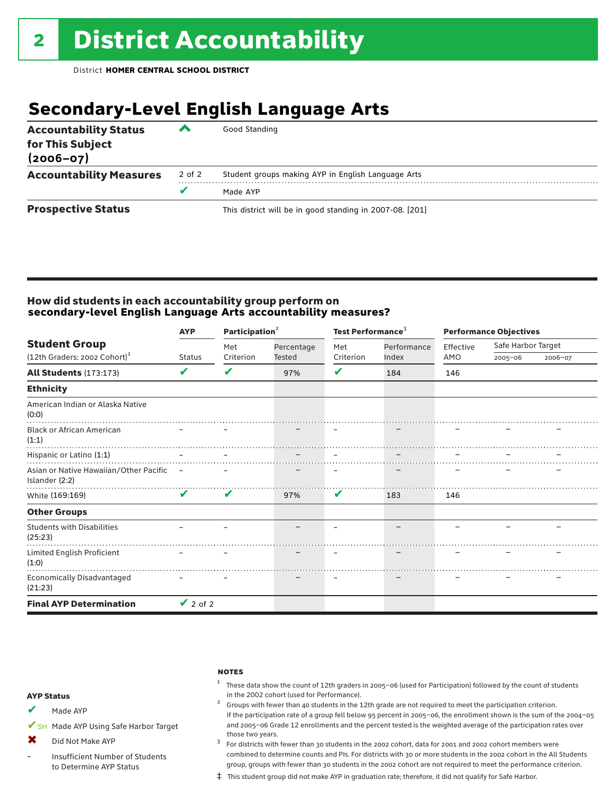## **Secondary-Level English Language Arts**

| <b>Accountability Status</b><br>for This Subject<br>$(2006 - 07)$ | ▰      | Good Standing                                            |
|-------------------------------------------------------------------|--------|----------------------------------------------------------|
| <b>Accountability Measures</b>                                    | 2 of 2 | Student groups making AYP in English Language Arts       |
|                                                                   | v      | Made AYP                                                 |
| <b>Prospective Status</b>                                         |        | This district will be in good standing in 2007-08. [201] |

### How did students in each accountability group perform on **secondary-level English Language Arts accountability measures?**

|                                                            | Participation <sup>2</sup><br><b>AYP</b> |           |                      | Test Performance <sup>3</sup> |             | <b>Performance Objectives</b> |                    |         |
|------------------------------------------------------------|------------------------------------------|-----------|----------------------|-------------------------------|-------------|-------------------------------|--------------------|---------|
| <b>Student Group</b>                                       |                                          | Met       | Percentage<br>Tested | Met                           | Performance | Effective                     | Safe Harbor Target |         |
| (12th Graders: 2002 Cohort) <sup>1</sup>                   | <b>Status</b>                            | Criterion |                      | Criterion                     | Index       | AMO                           | $2005 - 06$        | 2006-07 |
| <b>All Students (173:173)</b>                              | V                                        | ✔         | 97%                  | V                             | 184         | 146                           |                    |         |
| <b>Ethnicity</b>                                           |                                          |           |                      |                               |             |                               |                    |         |
| American Indian or Alaska Native<br>(0:0)                  |                                          |           |                      |                               |             |                               |                    |         |
| <b>Black or African American</b><br>(1:1)                  |                                          |           |                      |                               |             |                               |                    |         |
| Hispanic or Latino (1:1)                                   |                                          |           |                      |                               |             |                               |                    |         |
| Asian or Native Hawaiian/Other Pacific –<br>Islander (2:2) |                                          |           |                      |                               |             |                               |                    |         |
| White (169:169)                                            | V                                        | V         | 97%                  | V                             | 183         | 146                           |                    |         |
| <b>Other Groups</b>                                        |                                          |           |                      |                               |             |                               |                    |         |
| <b>Students with Disabilities</b><br>(25:23)               |                                          |           |                      |                               |             |                               |                    |         |
| Limited English Proficient<br>(1:0)                        |                                          |           |                      |                               |             |                               |                    |         |
| Economically Disadvantaged<br>(21:23)                      |                                          |           |                      |                               |             |                               |                    |         |
| <b>Final AYP Determination</b>                             | $\vee$ 2 of 2                            |           |                      |                               |             |                               |                    |         |

### **NOTES**

 $1$  These data show the count of 12th graders in 2005-06 (used for Participation) followed by the count of students in the 2002 cohort (used for Performance). <sup>2</sup> Groups with fewer than 40 students in the 12th grade are not required to meet the participation criterion.

### AYP Status

Made AYP ✔

✔SH Made AYP Using Safe Harbor Target

Did Not Make AYP  $\mathbf x$ 

Insufficient Number of Students to Determine AYP Status –

those two years.  $3$  For districts with fewer than 30 students in the 2002 cohort, data for 2001 and 2002 cohort members were combined to determine counts and PIs. For districts with 30 or more students in the 2002 cohort in the All Students group, groups with fewer than 30 students in the 2002 cohort are not required to meet the performance criterion.

If the participation rate of a group fell below 95 percent in 2005–06, the enrollment shown is the sum of the 2004–05 and 2005–06 Grade 12 enrollments and the percent tested is the weighted average of the participation rates over

‡ This student group did not make AYP in graduation rate; therefore, it did not qualify for Safe Harbor.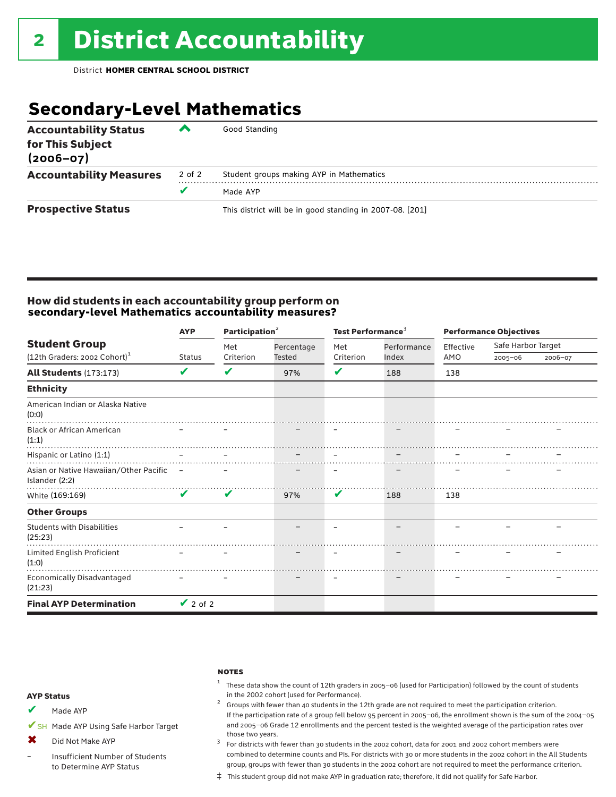## **Secondary-Level Mathematics**

| <b>Accountability Status</b><br>for This Subject<br>$(2006 - 07)$ | ▞      | Good Standing                                            |
|-------------------------------------------------------------------|--------|----------------------------------------------------------|
| <b>Accountability Measures</b>                                    | 2 of 2 | Student groups making AYP in Mathematics                 |
|                                                                   |        | Made AYP                                                 |
| <b>Prospective Status</b>                                         |        | This district will be in good standing in 2007-08. [201] |

### How did students in each accountability group perform on **secondary-level Mathematics accountability measures?**

|                                                            | Participation <sup>2</sup><br><b>AYP</b> |           |               | Test Performance <sup>3</sup> |             | <b>Performance Objectives</b> |                    |         |
|------------------------------------------------------------|------------------------------------------|-----------|---------------|-------------------------------|-------------|-------------------------------|--------------------|---------|
| <b>Student Group</b>                                       |                                          | Met       | Percentage    | Met                           | Performance | Effective                     | Safe Harbor Target |         |
| $(12th$ Graders: 2002 Cohort) <sup>1</sup>                 | Status                                   | Criterion | <b>Tested</b> | Criterion                     | Index       | AMO                           | $2005 - 06$        | 2006-07 |
| <b>All Students (173:173)</b>                              | V                                        | V         | 97%           | V                             | 188         | 138                           |                    |         |
| <b>Ethnicity</b>                                           |                                          |           |               |                               |             |                               |                    |         |
| American Indian or Alaska Native<br>(0:0)                  |                                          |           |               |                               |             |                               |                    |         |
| <b>Black or African American</b><br>(1:1)                  |                                          |           |               |                               |             |                               |                    |         |
| Hispanic or Latino (1:1)                                   |                                          |           |               |                               |             |                               |                    |         |
| Asian or Native Hawaiian/Other Pacific –<br>Islander (2:2) |                                          |           |               |                               |             |                               |                    |         |
| White (169:169)                                            | V                                        | V         | 97%           | V                             | 188         | 138                           |                    |         |
| <b>Other Groups</b>                                        |                                          |           |               |                               |             |                               |                    |         |
| <b>Students with Disabilities</b><br>(25:23)               |                                          |           |               | $\qquad \qquad$               |             |                               |                    |         |
| Limited English Proficient<br>(1:0)                        |                                          |           |               |                               |             |                               |                    |         |
| <b>Economically Disadvantaged</b><br>(21:23)               |                                          |           |               | $\overline{\phantom{m}}$      |             |                               |                    |         |
| <b>Final AYP Determination</b>                             | $\vee$ 2 of 2                            |           |               |                               |             |                               |                    |         |

### **NOTES**

 $1$  These data show the count of 12th graders in 2005-06 (used for Participation) followed by the count of students in the 2002 cohort (used for Performance).<br><sup>2</sup> Groups with fewer than 40 students in the 12th grade are not required to meet the participation criterion.

### AYP Status

Made AYP ✔

✔SH Made AYP Using Safe Harbor Target

Did Not Make AYP  $\mathbf x$ 

Insufficient Number of Students to Determine AYP Status –

those two years.  $3$  For districts with fewer than 30 students in the 2002 cohort, data for 2001 and 2002 cohort members were combined to determine counts and PIs. For districts with 30 or more students in the 2002 cohort in the All Students group, groups with fewer than 30 students in the 2002 cohort are not required to meet the performance criterion.

If the participation rate of a group fell below 95 percent in 2005–06, the enrollment shown is the sum of the 2004–05 and 2005–06 Grade 12 enrollments and the percent tested is the weighted average of the participation rates over

‡ This student group did not make AYP in graduation rate; therefore, it did not qualify for Safe Harbor.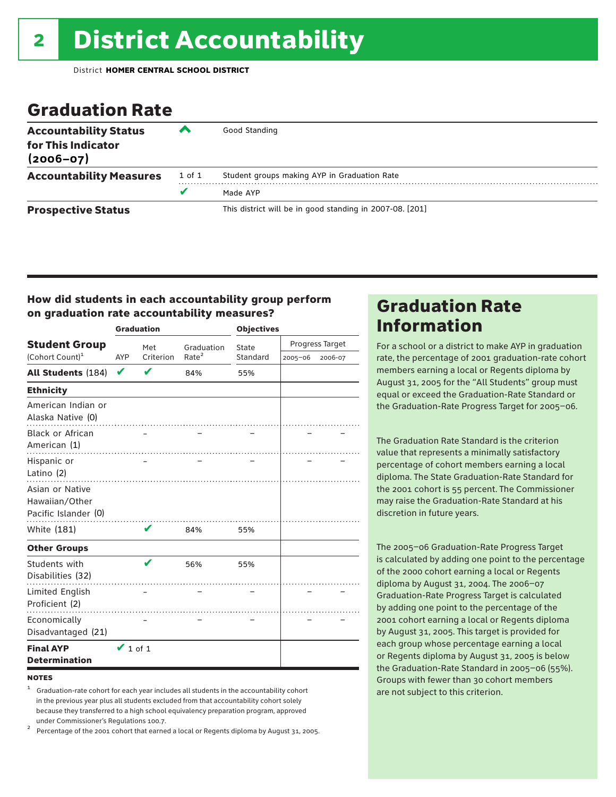## Graduation Rate

| <b>Accountability Status</b><br>for This Indicator<br>$(2006 - 07)$ | ‴      | Good Standing                                            |
|---------------------------------------------------------------------|--------|----------------------------------------------------------|
| <b>Accountability Measures</b>                                      | 1 of 1 | Student groups making AYP in Graduation Rate             |
|                                                                     | v      | Made AYP                                                 |
| <b>Prospective Status</b>                                           |        | This district will be in good standing in 2007-08. [201] |

### How did students in each accountability group perform on graduation rate accountability measures?

|                                                           |               | <b>Graduation</b> |                   | <b>Objectives</b> |                 |         |  |
|-----------------------------------------------------------|---------------|-------------------|-------------------|-------------------|-----------------|---------|--|
| <b>Student Group</b>                                      |               | Met               | Graduation        | State             | Progress Target |         |  |
| (Cohort Count) <sup>1</sup>                               | AYP           | Criterion         | Rate <sup>2</sup> | Standard          | 2005-06         | 2006-07 |  |
| <b>All Students (184)</b>                                 | V             | V                 | 84%               | 55%               |                 |         |  |
| <b>Ethnicity</b>                                          |               |                   |                   |                   |                 |         |  |
| American Indian or<br>Alaska Native (0)                   |               |                   |                   |                   |                 |         |  |
| <b>Black or African</b><br>American (1)                   |               |                   |                   |                   |                 |         |  |
| Hispanic or<br>Latino (2)                                 |               |                   |                   |                   |                 |         |  |
| Asian or Native<br>Hawaiian/Other<br>Pacific Islander (0) |               |                   |                   |                   |                 |         |  |
| White (181)                                               |               | v                 | 84%               | 55%               |                 |         |  |
| <b>Other Groups</b>                                       |               |                   |                   |                   |                 |         |  |
| Students with<br>Disabilities (32)                        |               | V                 | 56%               | 55%               |                 |         |  |
| Limited English<br>Proficient (2)                         |               |                   |                   |                   |                 |         |  |
| Economically<br>Disadvantaged (21)                        |               |                   |                   |                   |                 |         |  |
| <b>Final AYP</b><br><b>Determination</b>                  | $\vee$ 1 of 1 |                   |                   |                   |                 |         |  |

### **NOTES**

<sup>1</sup> Graduation-rate cohort for each year includes all students in the accountability cohort in the previous year plus all students excluded from that accountability cohort solely because they transferred to a high school equivalency preparation program, approved

under Commissioner's Regulations 100.7. <sup>2</sup> Percentage of the 2001 cohort that earned a local or Regents diploma by August 31, 2005.

## Graduation Rate Information

For a school or a district to make AYP in graduation rate, the percentage of 2001 graduation-rate cohort members earning a local or Regents diploma by August 31, 2005 for the "All Students" group must equal or exceed the Graduation-Rate Standard or the Graduation-Rate Progress Target for 2005–06.

The Graduation Rate Standard is the criterion value that represents a minimally satisfactory percentage of cohort members earning a local diploma. The State Graduation-Rate Standard for the 2001 cohort is 55 percent. The Commissioner may raise the Graduation-Rate Standard at his discretion in future years.

The 2005–06 Graduation-Rate Progress Target is calculated by adding one point to the percentage of the 2000 cohort earning a local or Regents diploma by August 31, 2004. The 2006–07 Graduation-Rate Progress Target is calculated by adding one point to the percentage of the 2001 cohort earning a local or Regents diploma by August 31, 2005. This target is provided for each group whose percentage earning a local or Regents diploma by August 31, 2005 is below the Graduation-Rate Standard in 2005–06 (55%). Groups with fewer than 30 cohort members are not subject to this criterion.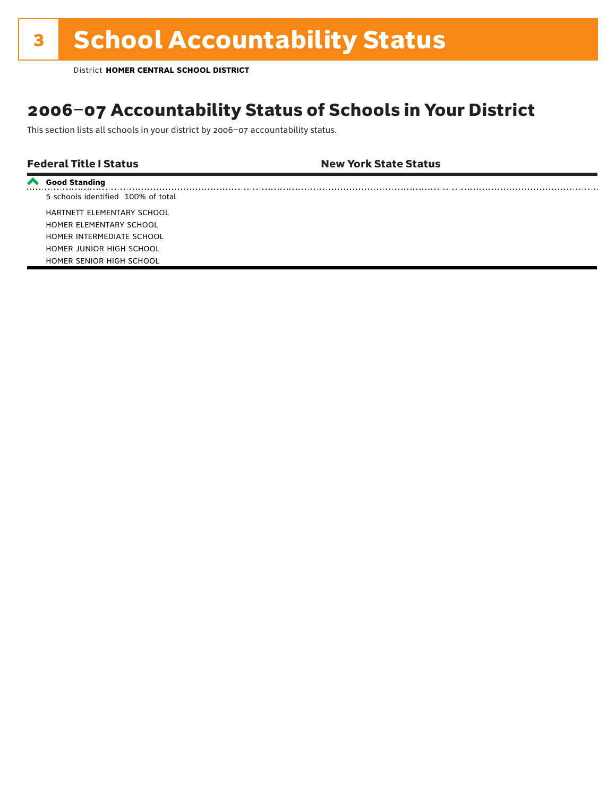## 2006–07 Accountability Status of Schools in Your District

This section lists all schools in your district by 2006–07 accountability status.

| <b>Federal Title I Status</b> | <b>New York State Status</b> |
|-------------------------------|------------------------------|
|                               |                              |

| ← Good Standing                    |
|------------------------------------|
| 5 schools identified 100% of total |
| HARTNETT ELEMENTARY SCHOOL         |
| HOMER ELEMENTARY SCHOOL            |
| HOMER INTERMEDIATE SCHOOL          |
| HOMER JUNIOR HIGH SCHOOL           |
| HOMER SENIOR HIGH SCHOOL           |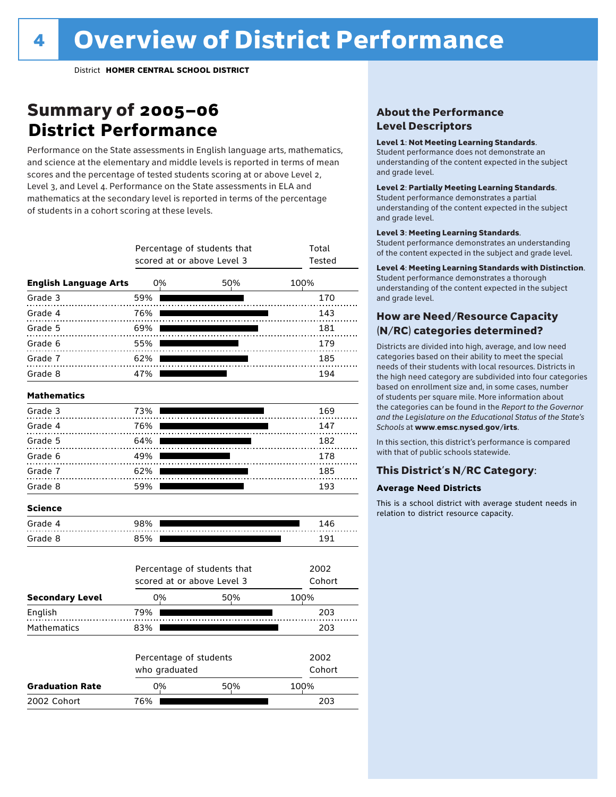## Summary of 2005–06 **District Performance**

Performance on the State assessments in English language arts, mathematics, and science at the elementary and middle levels is reported in terms of mean scores and the percentage of tested students scoring at or above Level 2, Level 3, and Level 4. Performance on the State assessments in ELA and mathematics at the secondary level is reported in terms of the percentage of students in a cohort scoring at these levels.

|                              |     |                                         | Percentage of students that<br>scored at or above Level 3 | Total<br>Tested |
|------------------------------|-----|-----------------------------------------|-----------------------------------------------------------|-----------------|
| <b>English Language Arts</b> |     | 0%                                      | 50%                                                       | 100%            |
| Grade 3                      | 59% |                                         |                                                           | 170             |
| Grade 4                      | 76% |                                         | .                                                         | 143             |
| Grade 5                      | 69% |                                         |                                                           | 181             |
| Grade 6                      | 55% |                                         |                                                           | 179             |
| Grade 7                      | 62% |                                         |                                                           | 185             |
| Grade 8                      | 47% |                                         |                                                           | 194             |
| <b>Mathematics</b>           |     |                                         |                                                           |                 |
| Grade 3                      | 73% |                                         |                                                           | 169             |
| Grade 4                      | 76% |                                         |                                                           | 147             |
| Grade 5                      | 64% |                                         |                                                           | 182             |
| Grade 6                      | 49% |                                         |                                                           | 178             |
| Grade 7                      | 62% |                                         |                                                           | 185             |
| Grade 8                      | 59% |                                         |                                                           | 193             |
| <b>Science</b>               |     |                                         |                                                           |                 |
| Grade 4                      | 98% |                                         |                                                           | 146             |
| Grade 8                      | 85% |                                         |                                                           | 191             |
|                              |     |                                         | Percentage of students that                               | 2002            |
|                              |     |                                         | scored at or above Level 3                                | Cohort          |
| <b>Secondary Level</b>       |     | 0%                                      | 50%                                                       | 100%            |
| English                      | 79% |                                         |                                                           | 203             |
| Mathematics                  | 83% |                                         |                                                           | 203             |
|                              |     | Percentage of students<br>who graduated | 2002<br>Cohort                                            |                 |
| <b>Graduation Rate</b>       |     | 0%                                      | 50%                                                       | 100%            |
| 2002 Cohort                  | 76% |                                         |                                                           | 203             |

### About the Performance Level Descriptors

### Level 1: Not Meeting Learning Standards.

Student performance does not demonstrate an understanding of the content expected in the subject and grade level.

### Level 2: Partially Meeting Learning Standards.

Student performance demonstrates a partial understanding of the content expected in the subject and grade level.

### Level 3: Meeting Learning Standards.

Student performance demonstrates an understanding of the content expected in the subject and grade level.

### Level 4: Meeting Learning Standards with Distinction.

Student performance demonstrates a thorough understanding of the content expected in the subject and grade level.

### How are Need/Resource Capacity (N/RC) categories determined?

Districts are divided into high, average, and low need categories based on their ability to meet the special needs of their students with local resources. Districts in the high need category are subdivided into four categories based on enrollment size and, in some cases, number of students per square mile. More information about the categories can be found in the *Report to the Governor and the Legislature on the Educational Status of the State's Schools* at www.emsc.nysed.gov/irts.

In this section, this district's performance is compared with that of public schools statewide.

### This District's N/RC Category:

### **Average Need Districts**

This is a school district with average student needs in relation to district resource capacity.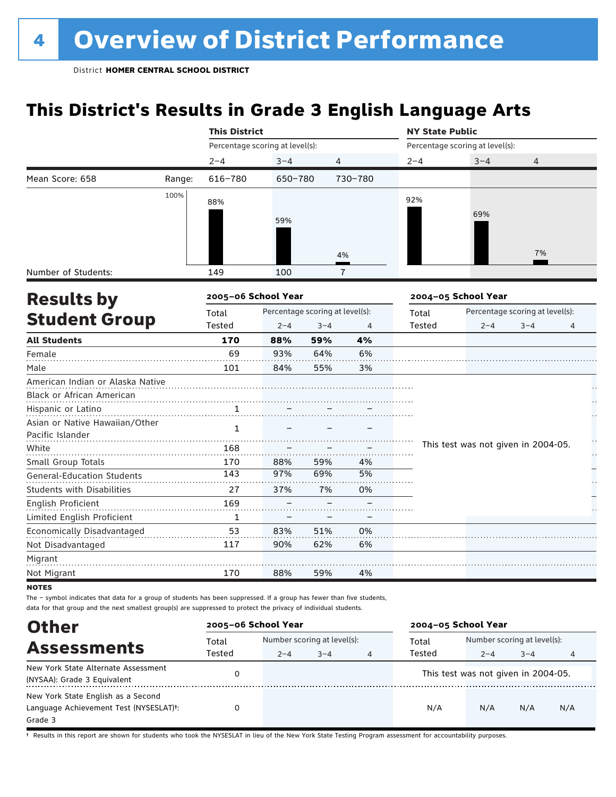## **This District's Results in Grade 3 English Language Arts**

|                                   |        | <b>This District</b>            |                                 |                |              | <b>NY State Public</b> |                                     |         |    |
|-----------------------------------|--------|---------------------------------|---------------------------------|----------------|--------------|------------------------|-------------------------------------|---------|----|
|                                   |        | Percentage scoring at level(s): |                                 |                |              |                        | Percentage scoring at level(s):     |         |    |
|                                   |        | $2 - 4$                         | $3 - 4$                         | $\overline{4}$ |              | $2 - 4$                | $3 - 4$                             | 4       |    |
| Mean Score: 658                   | Range: | $616 - 780$                     | 650-780                         |                | 730-780      |                        |                                     |         |    |
|                                   | 100%   | 88%                             |                                 |                |              | 92%                    |                                     |         |    |
|                                   |        |                                 |                                 |                |              |                        | 69%                                 |         |    |
|                                   |        |                                 | 59%                             |                |              |                        |                                     |         |    |
|                                   |        |                                 |                                 |                |              |                        |                                     |         |    |
|                                   |        |                                 |                                 |                | 4%           |                        |                                     | 7%      |    |
| Number of Students:               |        | 149                             | 100                             |                | $\mathbf{7}$ |                        |                                     |         |    |
| <b>Results by</b>                 |        | 2005-06 School Year             |                                 |                |              |                        | 2004-05 School Year                 |         |    |
| <b>Student Group</b>              |        | Total                           | Percentage scoring at level(s): |                |              | Total                  | Percentage scoring at level(s):     |         |    |
|                                   |        | Tested                          | $2 - 4$                         | $3 - 4$        | 4            | Tested                 | $2 - 4$                             | $3 - 4$ | 4  |
| <b>All Students</b>               |        | 170                             | 88%                             | 59%            | 4%           |                        |                                     |         |    |
| Female                            |        | 69                              | 93%                             | 64%            | 6%           |                        |                                     |         |    |
| Male                              |        | 101                             | 84%                             | 55%            | 3%           |                        |                                     |         |    |
| American Indian or Alaska Native  |        |                                 |                                 |                |              |                        |                                     |         |    |
| Black or African American         |        |                                 |                                 |                |              |                        |                                     |         |    |
| Hispanic or Latino                |        | 1                               |                                 |                |              |                        |                                     |         |    |
| Asian or Native Hawaiian/Other    |        | $\mathbf{1}$                    |                                 |                |              |                        |                                     |         |    |
| Pacific Islander                  |        |                                 |                                 |                |              |                        |                                     |         | h  |
| White                             |        | 168                             |                                 |                |              |                        | This test was not given in 2004-05. |         | ł. |
| Small Group Totals                |        | 170                             | 88%                             | 59%            | 4%           |                        |                                     |         |    |
| <b>General-Education Students</b> |        | 143                             | 97%                             | 69%            | 5%           |                        |                                     |         |    |
| <b>Students with Disabilities</b> |        | 27                              | 37%                             | 7%             | 0%           |                        |                                     |         |    |
| English Proficient                |        | 169                             |                                 |                |              |                        |                                     |         |    |
| Limited English Proficient        |        | $\mathbf{1}$                    |                                 |                |              |                        |                                     |         |    |
| Economically Disadvantaged        |        | 53                              | 83%                             | 51%            | 0%           |                        |                                     |         |    |
| Not Disadvantaged                 |        | 117                             | 90%                             | 62%            | 6%           |                        |                                     |         |    |
| Migrant                           |        |                                 |                                 |                |              |                        |                                     |         |    |
| Not Migrant                       |        | 170                             | 88%                             | 59%            | 4%           |                        |                                     |         |    |
| <b>NOTES</b>                      |        |                                 |                                 |                |              |                        |                                     |         |    |

The – symbol indicates that data for a group of students has been suppressed. If a group has fewer than five students, data for that group and the next smallest group(s) are suppressed to protect the privacy of individual students.

Assessments<br>
Total Number scoring at level and the Number scoring at level and Total Number scoring at level(s):<br>
Tested 2-4 3-4 3-4<br>
Tested 2-4 3-4 2–4 3–4 4 2–4 3–4 4 **Other 2005–06 School Year 2004–05 School Year** Total Tested Total Tested New York State Alternate Assessment (NEW TOM SULE ALLEMATE ASSESSMENT ON THIS TEST OF THIS TEST WAS NOT GIVEN IN 2004-05.<br>(NYSAA): Grade 3 Equivalent (NYSAA): Grade 3 Equivalent (NYSAA): Grade 3 Equivalent (NYSAA): Grade 3 Equivalent New York State English as a Second Language Achievement Test (NYSESLAT)†: Grade 3 0 N/A N/A N/A N/A

† Results in this report are shown for students who took the NYSESLAT in lieu of the New York State Testing Program assessment for accountability purposes.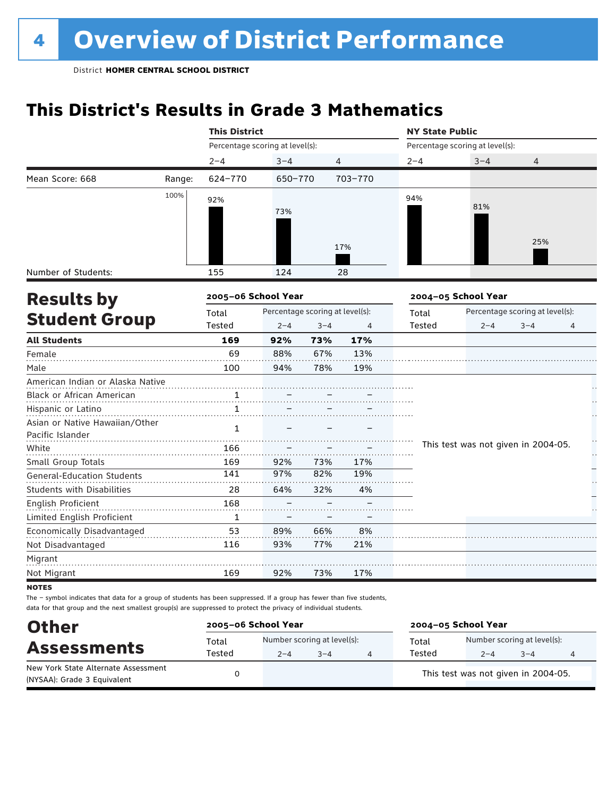## **This District's Results in Grade 3 Mathematics**

|                                           |        | <b>This District</b>            |                                 |         |         |         | <b>NY State Public</b>              |                                 |    |  |  |
|-------------------------------------------|--------|---------------------------------|---------------------------------|---------|---------|---------|-------------------------------------|---------------------------------|----|--|--|
|                                           |        | Percentage scoring at level(s): |                                 |         |         |         | Percentage scoring at level(s):     |                                 |    |  |  |
|                                           |        | $2 - 4$                         | $3 - 4$                         |         | 4       | $2 - 4$ | $3 - 4$                             | 4                               |    |  |  |
| Mean Score: 668                           | Range: | 624-770                         | 650-770                         |         | 703-770 |         |                                     |                                 |    |  |  |
|                                           | 100%   | 92%                             |                                 |         |         | 94%     |                                     |                                 |    |  |  |
|                                           |        |                                 | 73%                             |         |         |         | 81%                                 |                                 |    |  |  |
|                                           |        |                                 |                                 |         |         |         |                                     |                                 |    |  |  |
|                                           |        |                                 |                                 |         |         |         |                                     | 25%                             |    |  |  |
|                                           |        |                                 |                                 |         | 17%     |         |                                     |                                 |    |  |  |
| Number of Students:                       |        | 155                             | 124                             |         | 28      |         |                                     |                                 |    |  |  |
|                                           |        | 2005-06 School Year             |                                 |         |         |         | 2004-05 School Year                 |                                 |    |  |  |
| <b>Results by</b><br><b>Student Group</b> |        | Total                           | Percentage scoring at level(s): |         |         | Total   |                                     | Percentage scoring at level(s): |    |  |  |
|                                           |        | Tested                          | $2 - 4$                         | $3 - 4$ | 4       | Tested  | $2 - 4$                             | $3 - 4$                         | 4  |  |  |
| <b>All Students</b>                       |        | 169                             | 92%                             | 73%     | 17%     |         |                                     |                                 |    |  |  |
| Female                                    |        | 69                              | 88%                             | 67%     | 13%     |         |                                     |                                 |    |  |  |
| Male                                      |        | 100                             | 94%                             | 78%     | 19%     |         |                                     |                                 |    |  |  |
| American Indian or Alaska Native          |        |                                 |                                 |         |         |         |                                     |                                 |    |  |  |
| Black or African American                 |        | $\frac{1}{\cdots}$              |                                 |         |         |         |                                     |                                 |    |  |  |
| Hispanic or Latino                        |        | 1                               |                                 |         |         |         |                                     |                                 |    |  |  |
| Asian or Native Hawaiian/Other            |        | 1                               |                                 |         |         |         |                                     |                                 |    |  |  |
| Pacific Islander                          |        |                                 |                                 |         |         |         | This test was not given in 2004-05. |                                 |    |  |  |
| White                                     |        | 166                             |                                 |         |         |         |                                     |                                 | μ, |  |  |
| Small Group Totals                        |        | 169                             | 92%                             | 73%     | 17%     |         |                                     |                                 |    |  |  |
| <b>General-Education Students</b>         |        | 141                             | 97%                             | 82%     | 19%     |         |                                     |                                 |    |  |  |
| <b>Students with Disabilities</b>         |        | 28                              | 64%                             | 32%     | 4%      |         |                                     |                                 |    |  |  |
| English Proficient                        |        | 168                             |                                 |         |         |         |                                     |                                 |    |  |  |
| Limited English Proficient                |        | 1                               |                                 |         |         |         |                                     |                                 |    |  |  |
| Economically Disadvantaged                |        | 53                              | 89%                             | 66%     | 8%      |         |                                     |                                 |    |  |  |
| Not Disadvantaged                         |        | 116                             | 93%                             | 77%     | 21%     |         |                                     |                                 |    |  |  |
| Migrant                                   |        |                                 |                                 |         |         |         |                                     |                                 |    |  |  |
| Not Migrant                               |        | 169                             | 92%                             | 73%     | 17%     |         |                                     |                                 |    |  |  |
|                                           |        |                                 |                                 |         |         |         |                                     |                                 |    |  |  |

notes

| <b>Other</b>                                                       | 2005-06 School Year |         |                                        | 2004-05 School Year |                                        |         |  |  |
|--------------------------------------------------------------------|---------------------|---------|----------------------------------------|---------------------|----------------------------------------|---------|--|--|
| <b>Assessments</b>                                                 | Total<br>Tested     | $2 - 4$ | Number scoring at level(s):<br>$3 - 4$ | Total<br>Tested     | Number scoring at level(s):<br>$2 - 4$ | $3 - 4$ |  |  |
| New York State Alternate Assessment<br>(NYSAA): Grade 3 Equivalent |                     |         |                                        |                     | This test was not given in 2004-05.    |         |  |  |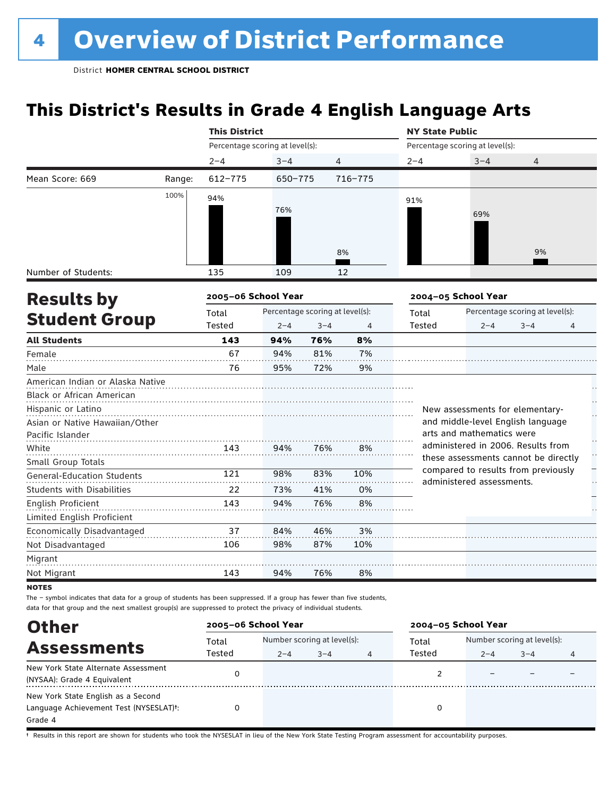## **This District's Results in Grade 4 English Language Arts**

|                                   |        | <b>This District</b>            |                                 |         |                | <b>NY State Public</b> |                                                                            |                                 |                |  |
|-----------------------------------|--------|---------------------------------|---------------------------------|---------|----------------|------------------------|----------------------------------------------------------------------------|---------------------------------|----------------|--|
|                                   |        | Percentage scoring at level(s): |                                 |         |                |                        | Percentage scoring at level(s):                                            |                                 |                |  |
|                                   |        | $2 - 4$                         | $3 - 4$                         |         | 4              | $2 - 4$                | $3 - 4$                                                                    | 4                               |                |  |
| Mean Score: 669                   | Range: | $612 - 775$                     | 650-775                         |         | 716-775        |                        |                                                                            |                                 |                |  |
|                                   | 100%   | 94%                             |                                 |         |                | 91%                    |                                                                            |                                 |                |  |
|                                   |        |                                 | 76%                             |         |                |                        | 69%                                                                        |                                 |                |  |
|                                   |        |                                 |                                 |         |                |                        |                                                                            |                                 |                |  |
|                                   |        |                                 |                                 |         |                |                        |                                                                            |                                 |                |  |
|                                   |        |                                 |                                 |         | 8%             |                        |                                                                            | 9%                              |                |  |
| Number of Students:               |        | 135                             | 109                             |         | 12             |                        |                                                                            |                                 |                |  |
|                                   |        | 2005-06 School Year             |                                 |         |                |                        | 2004-05 School Year                                                        |                                 |                |  |
| <b>Results by</b>                 |        |                                 | Percentage scoring at level(s): |         |                | Total                  |                                                                            | Percentage scoring at level(s): |                |  |
| <b>Student Group</b>              |        | Total<br>Tested                 | $2 - 4$                         | $3 - 4$ | $\overline{4}$ | Tested                 | $2 - 4$                                                                    | $3 - 4$                         | $\overline{4}$ |  |
| <b>All Students</b>               |        | 143                             | 94%                             | 76%     | 8%             |                        |                                                                            |                                 |                |  |
| Female                            |        | 67                              | 94%                             | 81%     | 7%             |                        |                                                                            |                                 |                |  |
| Male                              |        | 76                              | 95%                             | 72%     | 9%             |                        |                                                                            |                                 |                |  |
| American Indian or Alaska Native  |        |                                 |                                 |         |                |                        |                                                                            |                                 |                |  |
| <b>Black or African American</b>  |        |                                 |                                 |         |                |                        |                                                                            |                                 |                |  |
| Hispanic or Latino                |        |                                 |                                 |         |                |                        | New assessments for elementary-                                            |                                 |                |  |
| Asian or Native Hawaiian/Other    |        |                                 |                                 |         |                |                        | and middle-level English language                                          |                                 |                |  |
| Pacific Islander                  |        |                                 |                                 |         |                |                        | arts and mathematics were                                                  |                                 |                |  |
| White                             |        | 143                             | 94%                             | 76%     | 8%             |                        | administered in 2006. Results from<br>these assessments cannot be directly |                                 |                |  |
| Small Group Totals                |        |                                 |                                 |         |                |                        | compared to results from previously                                        |                                 |                |  |
| <b>General-Education Students</b> |        | 121                             | 98%                             | 83%     | 10%            |                        | administered assessments.                                                  |                                 |                |  |
| Students with Disabilities        |        | 22                              | 73%                             | 41%     | 0%             |                        |                                                                            |                                 |                |  |
| English Proficient                |        | 143                             | 94%                             | 76%     | 8%             |                        |                                                                            |                                 |                |  |
| Limited English Proficient        |        |                                 |                                 |         |                |                        |                                                                            |                                 |                |  |
| Economically Disadvantaged        |        | 37                              | 84%                             | 46%     | 3%             |                        |                                                                            |                                 |                |  |
| Not Disadvantaged                 |        | 106                             | 98%                             | 87%     | 10%            |                        |                                                                            |                                 |                |  |
| Migrant                           |        |                                 |                                 |         |                |                        |                                                                            |                                 |                |  |
| Not Migrant                       |        | 143                             | 94%                             | 76%     | 8%             |                        |                                                                            |                                 |                |  |

**NOTES** 

The – symbol indicates that data for a group of students has been suppressed. If a group has fewer than five students, data for that group and the next smallest group(s) are suppressed to protect the privacy of individual students.

| <b>Other</b>                           | 2005-06 School Year |                             |         |   | 2004-05 School Year |                             |         |   |
|----------------------------------------|---------------------|-----------------------------|---------|---|---------------------|-----------------------------|---------|---|
| <b>Assessments</b>                     | Total               | Number scoring at level(s): |         |   | Total               | Number scoring at level(s): |         |   |
|                                        | Tested              | $2 - 4$                     | $3 - 4$ | 4 | Tested              | $2 - 4$                     | $3 - 4$ | 4 |
| New York State Alternate Assessment    |                     |                             |         |   |                     |                             |         |   |
| (NYSAA): Grade 4 Equivalent            |                     |                             |         |   |                     |                             |         |   |
| New York State English as a Second     |                     |                             |         |   |                     |                             |         |   |
| Language Achievement Test (NYSESLAT)t: |                     |                             |         |   | 0                   |                             |         |   |
| Grade 4                                |                     |                             |         |   |                     |                             |         |   |

† Results in this report are shown for students who took the NYSESLAT in lieu of the New York State Testing Program assessment for accountability purposes.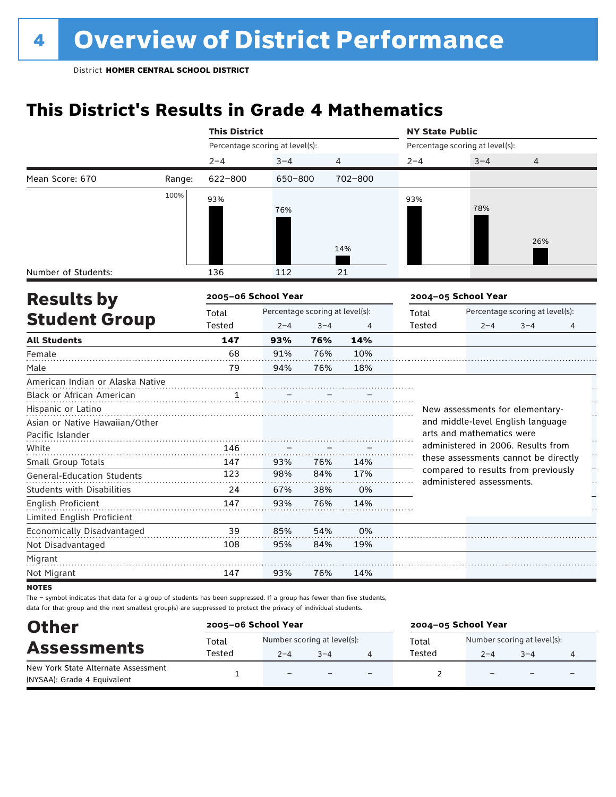## **This District's Results in Grade 4 Mathematics**

|                                             |        | <b>This District</b>            |                                 |         |         | <b>NY State Public</b> |                                                                            |                                 |   |  |
|---------------------------------------------|--------|---------------------------------|---------------------------------|---------|---------|------------------------|----------------------------------------------------------------------------|---------------------------------|---|--|
|                                             |        | Percentage scoring at level(s): |                                 |         |         |                        | Percentage scoring at level(s):                                            |                                 |   |  |
|                                             |        | $2 - 4$                         | $3 - 4$                         |         | 4       | $2 - 4$                | $3 - 4$                                                                    | 4                               |   |  |
| Mean Score: 670                             | Range: | 622-800                         | 650-800                         |         | 702-800 |                        |                                                                            |                                 |   |  |
|                                             | 100%   | 93%                             |                                 |         |         | 93%                    |                                                                            |                                 |   |  |
|                                             |        |                                 | 76%                             |         |         |                        | 78%                                                                        |                                 |   |  |
|                                             |        |                                 |                                 |         |         |                        |                                                                            |                                 |   |  |
|                                             |        |                                 |                                 |         |         |                        |                                                                            | 26%                             |   |  |
|                                             |        |                                 |                                 |         | 14%     |                        |                                                                            |                                 |   |  |
|                                             |        | 136                             | 112                             |         | 21      |                        |                                                                            |                                 |   |  |
|                                             |        |                                 |                                 |         |         |                        |                                                                            |                                 |   |  |
| <b>Results by</b>                           |        | 2005-06 School Year             |                                 |         |         |                        | 2004-05 School Year                                                        |                                 |   |  |
| Number of Students:<br><b>Student Group</b> |        | Total                           | Percentage scoring at level(s): |         |         | Total                  |                                                                            | Percentage scoring at level(s): |   |  |
|                                             |        | Tested                          | $2 - 4$                         | $3 - 4$ | 4       | Tested                 | $2 - 4$                                                                    | $3 - 4$                         | 4 |  |
| <b>All Students</b>                         |        | 147                             | 93%                             | 76%     | 14%     |                        |                                                                            |                                 |   |  |
| Female                                      |        | 68                              | 91%                             | 76%     | 10%     |                        |                                                                            |                                 |   |  |
| Male                                        |        | 79                              | 94%                             | 76%     | 18%     |                        |                                                                            |                                 |   |  |
| American Indian or Alaska Native            |        |                                 |                                 |         |         |                        |                                                                            |                                 |   |  |
| Black or African American                   |        | 1                               |                                 |         |         |                        |                                                                            |                                 |   |  |
| Hispanic or Latino                          |        |                                 |                                 |         |         |                        | New assessments for elementary-                                            |                                 |   |  |
| Asian or Native Hawaiian/Other              |        |                                 |                                 |         |         |                        | and middle-level English language                                          |                                 |   |  |
| Pacific Islander                            |        |                                 |                                 |         |         |                        | arts and mathematics were                                                  |                                 |   |  |
| White                                       |        | 146                             |                                 |         |         |                        | administered in 2006. Results from<br>these assessments cannot be directly |                                 |   |  |
| Small Group Totals                          |        | 147                             | 93%                             | 76%     | 14%     |                        | compared to results from previously                                        |                                 |   |  |
| <b>General-Education Students</b>           |        | 123                             | 98%                             | 84%     | 17%     |                        | administered assessments.                                                  |                                 |   |  |
| <b>Students with Disabilities</b>           |        | 24                              | 67%                             | 38%     | 0%      |                        |                                                                            |                                 |   |  |
| English Proficient                          |        | 147                             | 93%                             | 76%     | 14%     |                        |                                                                            |                                 |   |  |
| Limited English Proficient                  |        |                                 |                                 |         |         |                        |                                                                            |                                 |   |  |
| Economically Disadvantaged                  |        | 39                              | 85%                             | 54%     | 0%      |                        |                                                                            |                                 |   |  |
| Not Disadvantaged                           |        | 108                             | 95%                             | 84%     | 19%     |                        |                                                                            |                                 |   |  |
| Migrant                                     |        |                                 |                                 |         |         |                        |                                                                            |                                 |   |  |
| Not Migrant                                 |        | 147                             | 93%                             | 76%     | 14%     |                        |                                                                            |                                 |   |  |
|                                             |        |                                 |                                 |         |         |                        |                                                                            |                                 |   |  |

**NOTES** 

| <b>Other</b>                                              |        | 2005-06 School Year         |         |                          | 2004-05 School Year |                             |                          |  |  |
|-----------------------------------------------------------|--------|-----------------------------|---------|--------------------------|---------------------|-----------------------------|--------------------------|--|--|
| <b>Assessments</b><br>New York State Alternate Assessment | Total  | Number scoring at level(s): |         |                          | Total               | Number scoring at level(s): |                          |  |  |
|                                                           | Tested | $2 - 4$                     | $3 - 4$ |                          | Tested              | $2 - 4$                     | $3 - 4$                  |  |  |
| (NYSAA): Grade 4 Equivalent                               |        | $\equiv$                    |         | $\overline{\phantom{0}}$ |                     |                             | $\overline{\phantom{0}}$ |  |  |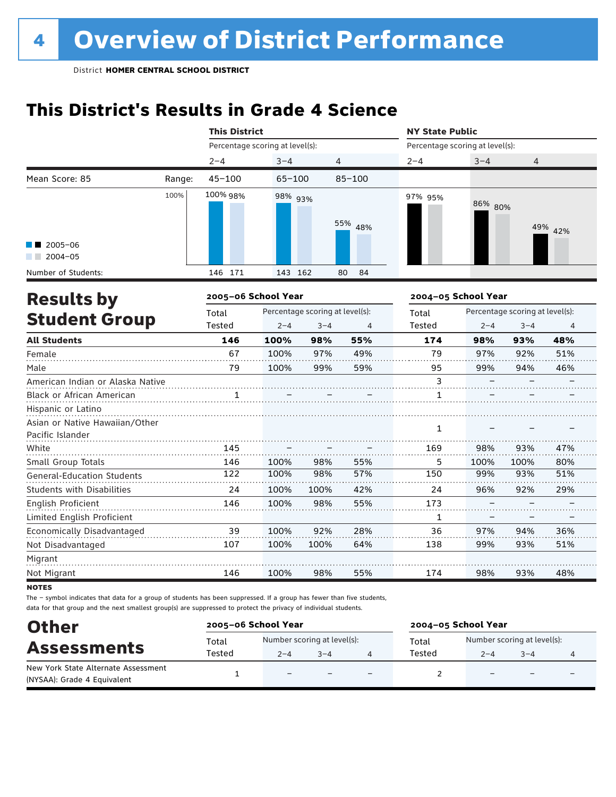## **This District's Results in Grade 4 Science**

|                                                    |        | <b>This District</b>            |            |                                 |                | <b>NY State Public</b>          |                     |                                 |         |
|----------------------------------------------------|--------|---------------------------------|------------|---------------------------------|----------------|---------------------------------|---------------------|---------------------------------|---------|
|                                                    |        | Percentage scoring at level(s): |            |                                 |                | Percentage scoring at level(s): |                     |                                 |         |
|                                                    |        | $2 - 4$                         | $3 - 4$    | 4                               |                | $2 - 4$                         | $3 - 4$             | $\overline{4}$                  |         |
| Mean Score: 85                                     | Range: | $45 - 100$                      | $65 - 100$ |                                 | $85 - 100$     |                                 |                     |                                 |         |
|                                                    | 100%   | 100% 98%                        | 98% 93%    |                                 | 55% 48%        | 97% 95%                         | 86% 80%             |                                 | 49% 42% |
| 2005-06<br>$2004 - 05$                             |        |                                 |            |                                 |                |                                 |                     |                                 |         |
| Number of Students:                                |        | 146 171                         | 143 162    |                                 | 80<br>84       |                                 |                     |                                 |         |
| <b>Results by</b>                                  |        | 2005-06 School Year             |            |                                 |                |                                 | 2004-05 School Year |                                 |         |
|                                                    |        | Total                           |            | Percentage scoring at level(s): |                | Total                           |                     | Percentage scoring at level(s): |         |
| <b>Student Group</b>                               |        | <b>Tested</b>                   | $2 - 4$    | $3 - 4$                         | $\overline{4}$ | <b>Tested</b>                   | $2 - 4$             | $3 - 4$                         | 4       |
| <b>All Students</b>                                |        | 146                             | 100%       | 98%                             | 55%            | 174                             | 98%                 | 93%                             | 48%     |
| Female                                             |        | 67                              | 100%       | 97%                             | 49%            | 79                              | 97%                 | 92%                             | 51%     |
| Male                                               |        | 79                              | 100%       | 99%                             | 59%            | 95                              | 99%                 | 94%                             | 46%     |
| American Indian or Alaska Native                   |        |                                 |            |                                 |                | 3                               |                     |                                 |         |
| Black or African American                          |        |                                 |            |                                 |                | 1                               |                     |                                 |         |
| Hispanic or Latino                                 |        |                                 |            |                                 |                |                                 |                     |                                 |         |
| Asian or Native Hawaiian/Other<br>Pacific Islander |        |                                 |            |                                 |                | 1                               |                     |                                 |         |
| White                                              |        | 145                             |            |                                 |                | 169                             | 98%                 | 93%                             | 47%     |
| Small Group Totals                                 |        | 146                             | 100%       | 98%                             | 55%            | 5                               | 100%                | 100%                            | 80%     |
| <b>General-Education Students</b>                  |        | 122                             | 100%       | 98%                             | 57%            | 150                             | 99%                 | 93%                             | 51%     |
| Students with Disabilities                         |        | 24                              | 100%       | 100%                            | 42%            | 24                              | 96%                 | 92%                             | 29%     |
| <b>English Proficient</b>                          |        | 146                             | 100%       | 98%                             | 55%            | 173                             |                     |                                 |         |
| Limited English Proficient                         |        |                                 |            |                                 |                | 1                               |                     |                                 |         |
| Economically Disadvantaged                         |        | 39                              | 100%       | 92%                             | 28%            | 36                              | 97%                 | 94%                             | 36%     |
| Not Disadvantaged                                  |        | 107                             | 100%       | 100%                            | 64%            | 138                             | 99%                 | 93%                             | 51%     |
| Migrant                                            |        |                                 |            |                                 |                |                                 |                     |                                 |         |
| Not Migrant                                        |        | 146                             | 100%       | 98%                             | 55%            | 174                             | 98%                 | 93%                             | 48%     |

**NOTES** 

| <b>Other</b>                        | 2005-06 School Year |                             |         |                          | 2004-05 School Year |                             |                          |                          |  |
|-------------------------------------|---------------------|-----------------------------|---------|--------------------------|---------------------|-----------------------------|--------------------------|--------------------------|--|
| <b>Assessments</b>                  | Total<br>Tested     | Number scoring at level(s): |         |                          | Total<br>Tested     | Number scoring at level(s): |                          |                          |  |
| New York State Alternate Assessment |                     | $2 - 4$                     | $3 - 4$ |                          |                     | $2 - 4$                     | $3 - 4$                  |                          |  |
| (NYSAA): Grade 4 Equivalent         |                     | $\overline{\phantom{a}}$    |         | $\overline{\phantom{0}}$ |                     | $\overline{\phantom{0}}$    | $\overline{\phantom{0}}$ | $\overline{\phantom{0}}$ |  |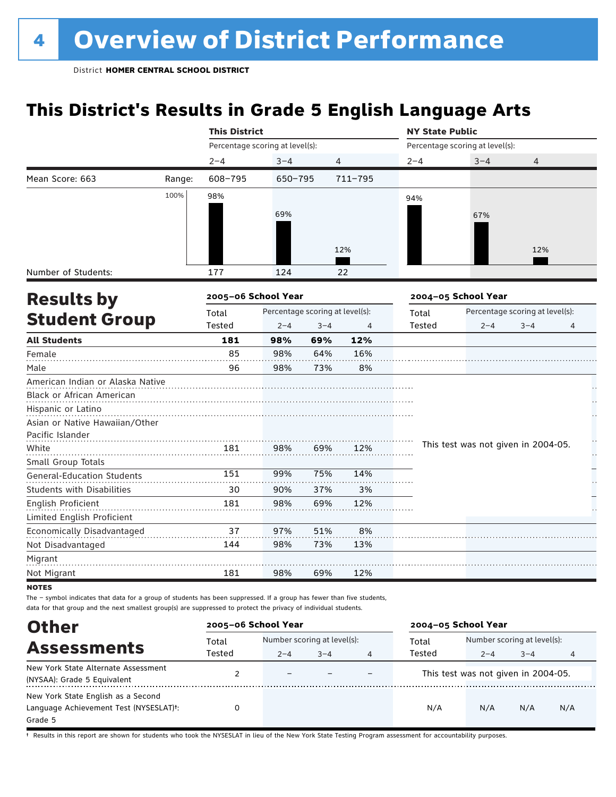## **This District's Results in Grade 5 English Language Arts**

|                                           |        | <b>This District</b>            |                                 |         |                | <b>NY State Public</b> |                                     |         |    |  |  |
|-------------------------------------------|--------|---------------------------------|---------------------------------|---------|----------------|------------------------|-------------------------------------|---------|----|--|--|
|                                           |        | Percentage scoring at level(s): |                                 |         |                |                        | Percentage scoring at level(s):     |         |    |  |  |
|                                           |        | $2 - 4$                         | $3 - 4$                         |         | $\overline{4}$ | $2 - 4$                | $3 - 4$                             | 4       |    |  |  |
| Mean Score: 663                           | Range: | 608-795                         | 650-795                         |         | 711-795        |                        |                                     |         |    |  |  |
|                                           | 100%   | 98%                             |                                 |         |                | 94%                    |                                     |         |    |  |  |
|                                           |        |                                 | 69%                             |         |                |                        | 67%                                 |         |    |  |  |
|                                           |        |                                 |                                 |         |                |                        |                                     |         |    |  |  |
|                                           |        |                                 |                                 |         |                |                        |                                     |         |    |  |  |
|                                           |        |                                 |                                 |         | 12%            |                        |                                     | 12%     |    |  |  |
| Number of Students:                       |        | 177                             | 124                             |         | 22             |                        |                                     |         |    |  |  |
|                                           |        | 2005-06 School Year             |                                 |         |                |                        | 2004-05 School Year                 |         |    |  |  |
| <b>Results by</b><br><b>Student Group</b> |        | Total                           | Percentage scoring at level(s): |         |                | Total                  | Percentage scoring at level(s):     |         |    |  |  |
|                                           |        | Tested                          | $2 - 4$                         | $3 - 4$ | 4              | Tested                 | $2 - 4$                             | $3 - 4$ | 4  |  |  |
| <b>All Students</b>                       |        | 181                             | 98%                             | 69%     | 12%            |                        |                                     |         |    |  |  |
| Female                                    |        | 85                              | 98%                             | 64%     | 16%            |                        |                                     |         |    |  |  |
| Male                                      |        | 96                              | 98%                             | 73%     | 8%             |                        |                                     |         |    |  |  |
| American Indian or Alaska Native          |        |                                 |                                 |         |                |                        |                                     |         |    |  |  |
| Black or African American                 |        |                                 |                                 |         |                |                        |                                     |         |    |  |  |
| Hispanic or Latino                        |        |                                 |                                 |         |                |                        |                                     |         |    |  |  |
| Asian or Native Hawaiian/Other            |        |                                 |                                 |         |                |                        |                                     |         |    |  |  |
| Pacific Islander                          |        |                                 |                                 |         |                |                        | This test was not given in 2004-05. |         |    |  |  |
| White                                     |        | 181                             | 98%                             | 69%     | 12%            |                        |                                     |         | ŗ. |  |  |
| Small Group Totals                        |        | 151                             | 99%                             | 75%     | 14%            |                        |                                     |         |    |  |  |
| <b>General-Education Students</b>         |        |                                 |                                 |         |                |                        |                                     |         |    |  |  |
| <b>Students with Disabilities</b>         |        | 30                              | 90%                             | 37%     | 3%             |                        |                                     |         |    |  |  |
| English Proficient                        |        | 181                             | 98%                             | 69%     | 12%            |                        |                                     |         |    |  |  |
| Limited English Proficient                |        | 37                              | 97%                             | 51%     | 8%             |                        |                                     |         |    |  |  |
| Economically Disadvantaged                |        | 144                             | 98%                             | 73%     | 13%            |                        |                                     |         |    |  |  |
| Not Disadvantaged<br>Migrant              |        |                                 |                                 |         |                |                        |                                     |         |    |  |  |
| Not Migrant                               |        | 181                             | 98%                             | 69%     | 12%            |                        |                                     |         |    |  |  |
| 10722                                     |        |                                 |                                 |         |                |                        |                                     |         |    |  |  |

**NOTES** 

The – symbol indicates that data for a group of students has been suppressed. If a group has fewer than five students, data for that group and the next smallest group(s) are suppressed to protect the privacy of individual students.

| <b>Other</b>                                                                                         | 2005-06 School Year |                                                        |  |  | 2004-05 School Year |                                                   |     |     |
|------------------------------------------------------------------------------------------------------|---------------------|--------------------------------------------------------|--|--|---------------------|---------------------------------------------------|-----|-----|
| <b>Assessments</b>                                                                                   | Total<br>Tested     | Number scoring at level(s):<br>$3 - 4$<br>$2 - 4$<br>4 |  |  | Total<br>Tested     | Number scoring at level(s):<br>$3 - 4$<br>$2 - 4$ |     |     |
| New York State Alternate Assessment<br>(NYSAA): Grade 5 Equivalent                                   |                     | $\overline{\phantom{0}}$                               |  |  |                     | This test was not given in 2004-05.               |     | 4   |
| New York State English as a Second<br>Language Achievement Test (NYSESLAT) <sup>+</sup> :<br>Grade 5 |                     |                                                        |  |  | N/A                 | N/A                                               | N/A | N/A |

† Results in this report are shown for students who took the NYSESLAT in lieu of the New York State Testing Program assessment for accountability purposes.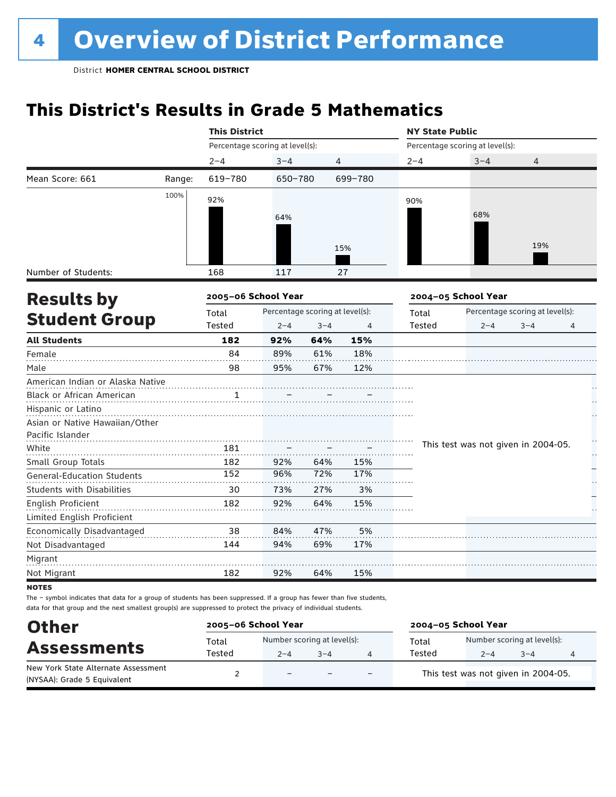## **This District's Results in Grade 5 Mathematics**

|                                   |        | <b>This District</b>                     |         |         |         | <b>NY State Public</b> |                                     |                                 |    |  |  |
|-----------------------------------|--------|------------------------------------------|---------|---------|---------|------------------------|-------------------------------------|---------------------------------|----|--|--|
|                                   |        | Percentage scoring at level(s):          |         |         |         |                        | Percentage scoring at level(s):     |                                 |    |  |  |
|                                   |        | $2 - 4$                                  | $3 - 4$ |         | 4       | $2 - 4$                | $3 - 4$                             | 4                               |    |  |  |
| Mean Score: 661                   | Range: | 619-780                                  | 650-780 |         | 699-780 |                        |                                     |                                 |    |  |  |
|                                   | 100%   | 92%                                      |         |         |         | 90%                    |                                     |                                 |    |  |  |
|                                   |        |                                          | 64%     |         |         |                        | 68%                                 |                                 |    |  |  |
|                                   |        |                                          |         |         |         |                        |                                     |                                 |    |  |  |
|                                   |        |                                          |         |         |         |                        |                                     | 19%                             |    |  |  |
|                                   |        |                                          |         |         | 15%     |                        |                                     |                                 |    |  |  |
| Number of Students:               |        | 168                                      | 117     |         | 27      |                        |                                     |                                 |    |  |  |
| <b>Results by</b>                 |        | 2005-06 School Year                      |         |         |         |                        | 2004-05 School Year                 |                                 |    |  |  |
|                                   |        | Percentage scoring at level(s):<br>Total |         |         |         | Total                  |                                     | Percentage scoring at level(s): |    |  |  |
| <b>Student Group</b>              |        | Tested                                   | $2 - 4$ | $3 - 4$ | 4       | Tested                 | $2 - 4$                             | $3 - 4$                         | 4  |  |  |
| <b>All Students</b>               |        | 182                                      | 92%     | 64%     | 15%     |                        |                                     |                                 |    |  |  |
| Female                            |        | 84                                       | 89%     | 61%     | 18%     |                        |                                     |                                 |    |  |  |
| Male                              |        | 98                                       | 95%     | 67%     | 12%     |                        |                                     |                                 |    |  |  |
| American Indian or Alaska Native  |        |                                          |         |         |         |                        |                                     |                                 |    |  |  |
| Black or African American         |        |                                          |         |         |         |                        |                                     |                                 |    |  |  |
| Hispanic or Latino                |        |                                          |         |         |         |                        |                                     |                                 |    |  |  |
| Asian or Native Hawaiian/Other    |        |                                          |         |         |         |                        |                                     |                                 |    |  |  |
| Pacific Islander                  |        |                                          |         |         |         |                        |                                     |                                 |    |  |  |
| White                             |        | 181                                      |         |         |         |                        | This test was not given in 2004-05. |                                 | Н, |  |  |
| Small Group Totals                |        | 182                                      | 92%     | 64%     | 15%     |                        |                                     |                                 |    |  |  |
| <b>General-Education Students</b> |        | 152                                      | 96%     | 72%     | 17%     |                        |                                     |                                 |    |  |  |
| <b>Students with Disabilities</b> |        | 30                                       | 73%     | 27%     | 3%      |                        |                                     |                                 |    |  |  |
| English Proficient                |        | 182                                      | 92%     | 64%     | 15%     |                        |                                     |                                 |    |  |  |
| Limited English Proficient        |        |                                          |         |         |         |                        |                                     |                                 |    |  |  |
| Economically Disadvantaged        |        | 38                                       | 84%     | 47%     | 5%      |                        |                                     |                                 |    |  |  |
| Not Disadvantaged                 |        | 144                                      | 94%     | 69%     | 17%     |                        |                                     |                                 |    |  |  |
| Migrant                           |        |                                          |         |         |         |                        |                                     |                                 |    |  |  |
| Not Migrant                       |        | 182                                      | 92%     | 64%     | 15%     |                        |                                     |                                 |    |  |  |
| <b>NOTES</b>                      |        |                                          |         |         |         |                        |                                     |                                 |    |  |  |

| <b>Other</b>                                                       | 2005-06 School Year |                                        |         |                          | 2004-05 School Year |                                        |         |   |  |
|--------------------------------------------------------------------|---------------------|----------------------------------------|---------|--------------------------|---------------------|----------------------------------------|---------|---|--|
| <b>Assessments</b>                                                 | Total<br>Tested     | Number scoring at level(s):<br>$2 - 4$ | $3 - 4$ |                          | Total<br>Tested     | Number scoring at level(s):<br>$2 - 4$ | $3 - 4$ | 4 |  |
| New York State Alternate Assessment<br>(NYSAA): Grade 5 Equivalent |                     | $\equiv$                               |         | $\overline{\phantom{0}}$ |                     | This test was not given in 2004-05.    |         |   |  |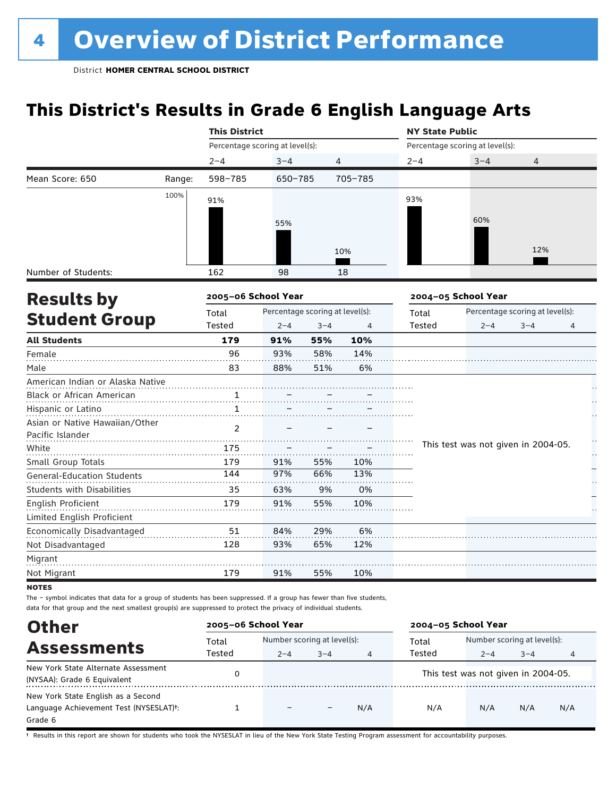## **This District's Results in Grade 6 English Language Arts**

|                                   |        | <b>This District</b>                     |         |         |         | <b>NY State Public</b> |                                     |                                 |    |  |
|-----------------------------------|--------|------------------------------------------|---------|---------|---------|------------------------|-------------------------------------|---------------------------------|----|--|
|                                   |        | Percentage scoring at level(s):          |         |         |         |                        | Percentage scoring at level(s):     |                                 |    |  |
|                                   |        | $2 - 4$                                  | $3 - 4$ | 4       |         | $2 - 4$                | $3 - 4$                             | 4                               |    |  |
| Mean Score: 650                   | Range: | 598-785                                  | 650-785 |         | 705-785 |                        |                                     |                                 |    |  |
|                                   | 100%   | 91%                                      |         |         |         | 93%                    |                                     |                                 |    |  |
|                                   |        |                                          |         |         |         |                        |                                     |                                 |    |  |
|                                   |        |                                          | 55%     |         |         |                        | 60%                                 |                                 |    |  |
|                                   |        |                                          |         |         |         |                        |                                     |                                 |    |  |
|                                   |        |                                          |         |         | 10%     |                        |                                     | 12%                             |    |  |
| Number of Students:               |        | 162                                      | 98      |         | 18      |                        |                                     |                                 |    |  |
| <b>Results by</b>                 |        | 2005-06 School Year                      |         |         |         |                        | 2004-05 School Year                 |                                 |    |  |
|                                   |        | Percentage scoring at level(s):<br>Total |         |         |         | Total                  |                                     | Percentage scoring at level(s): |    |  |
| <b>Student Group</b>              |        | Tested                                   | $2 - 4$ | $3 - 4$ | 4       | Tested                 | $2 - 4$                             | $3 - 4$                         | 4  |  |
| <b>All Students</b>               |        | 179                                      | 91%     | 55%     | 10%     |                        |                                     |                                 |    |  |
| Female                            |        | 96                                       | 93%     | 58%     | 14%     |                        |                                     |                                 |    |  |
| Male                              |        | 83                                       | 88%     | 51%     | 6%      |                        |                                     |                                 |    |  |
| American Indian or Alaska Native  |        |                                          |         |         |         |                        |                                     |                                 |    |  |
| Black or African American         |        | 1                                        |         |         |         |                        |                                     |                                 |    |  |
| Hispanic or Latino                |        | $\mathbf{1}$                             |         |         |         |                        |                                     |                                 |    |  |
| Asian or Native Hawaiian/Other    |        | $\overline{2}$                           |         |         |         |                        |                                     |                                 |    |  |
| Pacific Islander                  |        |                                          |         |         |         |                        |                                     |                                 | Ì, |  |
| White                             |        | 175                                      |         |         |         |                        | This test was not given in 2004-05. |                                 | ŗ. |  |
| Small Group Totals                |        | 179                                      | 91%     | 55%     | 10%     |                        |                                     |                                 |    |  |
| <b>General-Education Students</b> |        | 144                                      | 97%     | 66%     | 13%     |                        |                                     |                                 |    |  |
| <b>Students with Disabilities</b> |        | 35                                       | 63%     | 9%      | 0%      |                        |                                     |                                 |    |  |
| <b>English Proficient</b>         |        | 179                                      | 91%     | 55%     | 10%     |                        |                                     |                                 |    |  |
| Limited English Proficient        |        |                                          |         |         |         |                        |                                     |                                 |    |  |
| Economically Disadvantaged        |        | 51                                       | 84%     | 29%     | 6%      |                        |                                     |                                 |    |  |
| Not Disadvantaged                 |        | 128                                      | 93%     | 65%     | 12%     |                        |                                     |                                 |    |  |
| Migrant                           |        |                                          |         |         |         |                        |                                     |                                 |    |  |
| Not Migrant                       |        | 179                                      | 91%     | 55%     | 10%     |                        |                                     |                                 |    |  |
| <b>NOTES</b>                      |        |                                          |         |         |         |                        |                                     |                                 |    |  |

The – symbol indicates that data for a group of students has been suppressed. If a group has fewer than five students,

data for that group and the next smallest group(s) are suppressed to protect the privacy of individual students.

| <b>Other</b>                           | 2005-06 School Year |                             |                   |     | 2004-05 School Year                 |                             |         |     |
|----------------------------------------|---------------------|-----------------------------|-------------------|-----|-------------------------------------|-----------------------------|---------|-----|
| <b>Assessments</b>                     | Total               | Number scoring at level(s): |                   |     | Total                               | Number scoring at level(s): |         |     |
|                                        | Tested              | $2 - 4$                     | $3 - 4$           | 4   | Tested                              | $2 - 4$                     | $3 - 4$ |     |
| New York State Alternate Assessment    |                     |                             |                   |     | This test was not given in 2004-05. |                             |         |     |
| (NYSAA): Grade 6 Equivalent            |                     |                             |                   |     |                                     |                             |         |     |
| New York State English as a Second     |                     |                             |                   |     |                                     |                             |         |     |
| Language Achievement Test (NYSESLAT)t: |                     | $\overline{\phantom{0}}$    | $\qquad \qquad -$ | N/A | N/A                                 | N/A                         | N/A     | N/A |
| Grade 6                                |                     |                             |                   |     |                                     |                             |         |     |

† Results in this report are shown for students who took the NYSESLAT in lieu of the New York State Testing Program assessment for accountability purposes.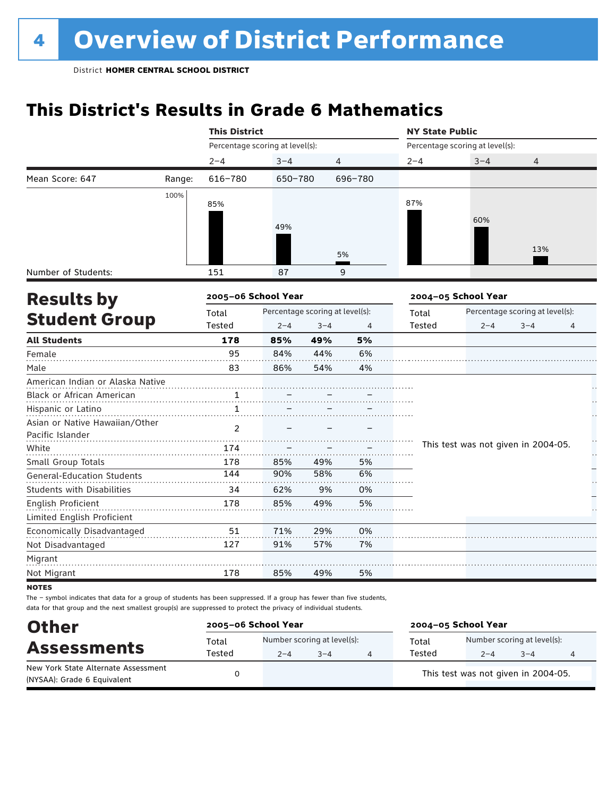## **This District's Results in Grade 6 Mathematics**

|                                   |        | <b>This District</b>                     |         |         |         | <b>NY State Public</b> |                                     |                                 |          |  |
|-----------------------------------|--------|------------------------------------------|---------|---------|---------|------------------------|-------------------------------------|---------------------------------|----------|--|
|                                   |        | Percentage scoring at level(s):          |         |         |         |                        | Percentage scoring at level(s):     |                                 |          |  |
|                                   |        | $2 - 4$                                  | $3 - 4$ | 4       |         | $2 - 4$                | $3 - 4$                             | 4                               |          |  |
| Mean Score: 647                   | Range: | $616 - 780$                              | 650-780 |         | 696-780 |                        |                                     |                                 |          |  |
|                                   | 100%   |                                          |         |         |         | 87%                    |                                     |                                 |          |  |
|                                   |        | 85%                                      |         |         |         |                        |                                     |                                 |          |  |
|                                   |        |                                          | 49%     |         |         |                        | 60%                                 |                                 |          |  |
|                                   |        |                                          |         |         |         |                        |                                     |                                 |          |  |
|                                   |        |                                          |         |         | 5%      |                        |                                     | 13%                             |          |  |
| Number of Students:               |        | 151                                      | 87      |         | 9       |                        |                                     |                                 |          |  |
| <b>Results by</b>                 |        | 2005-06 School Year                      |         |         |         |                        | 2004-05 School Year                 |                                 |          |  |
|                                   |        | Percentage scoring at level(s):<br>Total |         |         |         | Total                  |                                     | Percentage scoring at level(s): |          |  |
| <b>Student Group</b>              |        | Tested                                   | $2 - 4$ | $3 - 4$ | 4       | Tested                 | $2 - 4$                             | $3 - 4$                         | 4        |  |
| <b>All Students</b>               |        | 178                                      | 85%     | 49%     | 5%      |                        |                                     |                                 |          |  |
| Female                            |        | 95                                       | 84%     | 44%     | 6%      |                        |                                     |                                 |          |  |
| Male                              |        | 83                                       | 86%     | 54%     | 4%      |                        |                                     |                                 |          |  |
| American Indian or Alaska Native  |        |                                          |         |         |         |                        |                                     |                                 |          |  |
| Black or African American         |        | 1                                        |         |         |         |                        |                                     |                                 |          |  |
| Hispanic or Latino                |        | $\mathbf{1}$                             |         |         |         |                        |                                     |                                 |          |  |
| Asian or Native Hawaiian/Other    |        | $\overline{2}$                           |         |         |         |                        |                                     |                                 |          |  |
| Pacific Islander                  |        |                                          |         |         |         |                        |                                     |                                 |          |  |
| White                             |        | 174                                      |         |         |         |                        | This test was not given in 2004-05. |                                 | Ì,<br>ŀ, |  |
| Small Group Totals                |        | 178                                      | 85%     | 49%     | 5%      |                        |                                     |                                 |          |  |
| <b>General-Education Students</b> |        | 144                                      | 90%     | 58%     | 6%      |                        |                                     |                                 |          |  |
| <b>Students with Disabilities</b> |        | 34                                       | 62%     | 9%      | 0%      |                        |                                     |                                 |          |  |
| <b>English Proficient</b>         |        | 178                                      | 85%     | 49%     | 5%      |                        |                                     |                                 |          |  |
| Limited English Proficient        |        |                                          |         |         |         |                        |                                     |                                 |          |  |
| Economically Disadvantaged        |        | 51                                       | 71%     | 29%     | 0%      |                        |                                     |                                 |          |  |
| Not Disadvantaged                 |        | 127                                      | 91%     | 57%     | 7%      |                        |                                     |                                 |          |  |
| Migrant                           |        |                                          |         |         |         |                        |                                     |                                 |          |  |
| Not Migrant                       |        | 178                                      | 85%     | 49%     | 5%      |                        |                                     |                                 |          |  |
| <b>NOTES</b>                      |        |                                          |         |         |         |                        |                                     |                                 |          |  |

| <b>Other</b>                                                       | 2005-06 School Year |                                                   |  |  | 2004-05 School Year |                                        |         |   |  |
|--------------------------------------------------------------------|---------------------|---------------------------------------------------|--|--|---------------------|----------------------------------------|---------|---|--|
| <b>Assessments</b>                                                 | Total<br>Tested     | Number scoring at level(s):<br>$3 - 4$<br>$2 - 4$ |  |  | Total<br>Tested     | Number scoring at level(s):<br>$2 - 4$ | $3 - 4$ | 4 |  |
| New York State Alternate Assessment<br>(NYSAA): Grade 6 Equivalent |                     |                                                   |  |  |                     | This test was not given in 2004-05.    |         |   |  |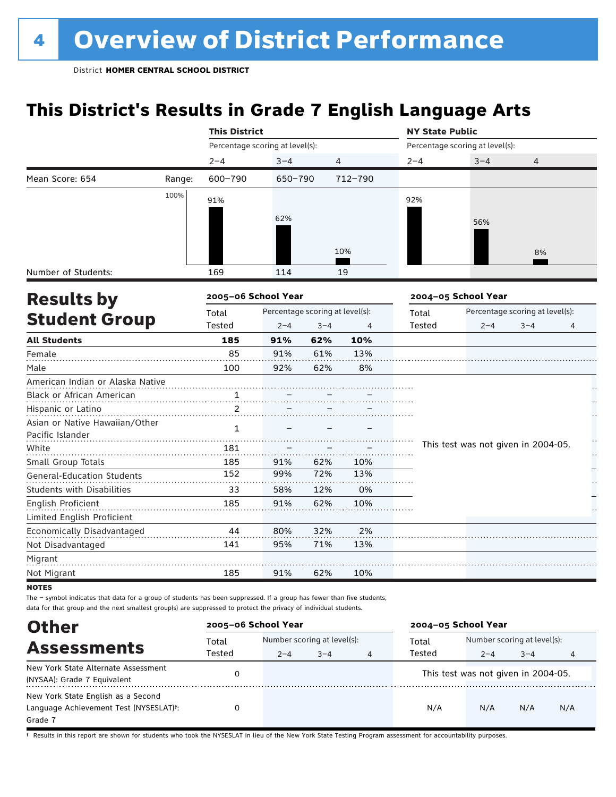## **This District's Results in Grade 7 English Language Arts**

|                                   |        | <b>This District</b>                     |         |         |         | <b>NY State Public</b> |                                     |                                 |          |  |
|-----------------------------------|--------|------------------------------------------|---------|---------|---------|------------------------|-------------------------------------|---------------------------------|----------|--|
|                                   |        | Percentage scoring at level(s):          |         |         |         |                        | Percentage scoring at level(s):     |                                 |          |  |
|                                   |        | $2 - 4$                                  | $3 - 4$ |         | 4       | $2 - 4$                | $3 - 4$                             | 4                               |          |  |
| Mean Score: 654                   | Range: | 600-790                                  | 650-790 |         | 712-790 |                        |                                     |                                 |          |  |
|                                   | 100%   | 91%                                      |         |         |         | 92%                    |                                     |                                 |          |  |
|                                   |        |                                          |         |         |         |                        |                                     |                                 |          |  |
|                                   |        |                                          | 62%     |         |         |                        | 56%                                 |                                 |          |  |
|                                   |        |                                          |         |         |         |                        |                                     |                                 |          |  |
|                                   |        |                                          |         |         | 10%     |                        |                                     | 8%                              |          |  |
| Number of Students:               |        | 169                                      | 114     |         | 19      |                        |                                     |                                 |          |  |
| <b>Results by</b>                 |        | 2005-06 School Year                      |         |         |         |                        | 2004-05 School Year                 |                                 |          |  |
|                                   |        | Percentage scoring at level(s):<br>Total |         |         |         | Total                  |                                     | Percentage scoring at level(s): |          |  |
| <b>Student Group</b>              |        | Tested                                   | $2 - 4$ | $3 - 4$ | 4       | Tested                 | $2 - 4$                             | $3 - 4$                         | 4        |  |
| <b>All Students</b>               |        | 185                                      | 91%     | 62%     | 10%     |                        |                                     |                                 |          |  |
| Female                            |        | 85                                       | 91%     | 61%     | 13%     |                        |                                     |                                 |          |  |
| Male                              |        | 100                                      | 92%     | 62%     | 8%      |                        |                                     |                                 |          |  |
| American Indian or Alaska Native  |        |                                          |         |         |         |                        |                                     |                                 |          |  |
| Black or African American         |        | $\overline{1}$                           |         |         |         |                        |                                     |                                 |          |  |
| Hispanic or Latino                |        | 2                                        |         |         |         |                        |                                     |                                 |          |  |
| Asian or Native Hawaiian/Other    |        | $\mathbf{1}$                             |         |         |         |                        |                                     |                                 |          |  |
| Pacific Islander                  |        |                                          |         |         |         |                        |                                     |                                 |          |  |
| White                             |        | 181                                      |         |         |         |                        | This test was not given in 2004-05. |                                 | Ì,<br>ŗ. |  |
| Small Group Totals                |        | 185                                      | 91%     | 62%     | 10%     |                        |                                     |                                 |          |  |
| <b>General-Education Students</b> |        | 152                                      | 99%     | 72%     | 13%     |                        |                                     |                                 |          |  |
| <b>Students with Disabilities</b> |        | 33                                       | 58%     | 12%     | 0%      |                        |                                     |                                 |          |  |
| <b>English Proficient</b>         |        | 185                                      | 91%     | 62%     | 10%     |                        |                                     |                                 |          |  |
| Limited English Proficient        |        |                                          |         |         |         |                        |                                     |                                 |          |  |
| Economically Disadvantaged        |        | 44                                       | 80%     | 32%     | 2%      |                        |                                     |                                 |          |  |
| Not Disadvantaged                 |        | 141                                      | 95%     | 71%     | 13%     |                        |                                     |                                 |          |  |
| Migrant                           |        |                                          |         |         |         |                        |                                     |                                 |          |  |
| Not Migrant                       |        | 185                                      | 91%     | 62%     | 10%     |                        |                                     |                                 |          |  |
| <b>NOTES</b>                      |        |                                          |         |         |         |                        |                                     |                                 |          |  |

The – symbol indicates that data for a group of students has been suppressed. If a group has fewer than five students, data for that group and the next smallest group(s) are suppressed to protect the privacy of individual students.

| <b>Other</b>                                                                                         | 2005-06 School Year |                             |         |   | 2004-05 School Year |                                                |         |     |
|------------------------------------------------------------------------------------------------------|---------------------|-----------------------------|---------|---|---------------------|------------------------------------------------|---------|-----|
| <b>Assessments</b>                                                                                   | Total<br>Tested     | Number scoring at level(s): |         |   | Total<br>Tested     | Number scoring at level(s):                    |         |     |
| New York State Alternate Assessment<br>(NYSAA): Grade 7 Equivalent                                   |                     | $2 - 4$                     | $3 - 4$ | 4 |                     | $2 - 4$<br>This test was not given in 2004-05. | $3 - 4$ | 4   |
| New York State English as a Second<br>Language Achievement Test (NYSESLAT) <sup>t</sup> :<br>Grade 7 |                     |                             |         |   | N/A                 | N/A                                            | N/A     | N/A |

† Results in this report are shown for students who took the NYSESLAT in lieu of the New York State Testing Program assessment for accountability purposes.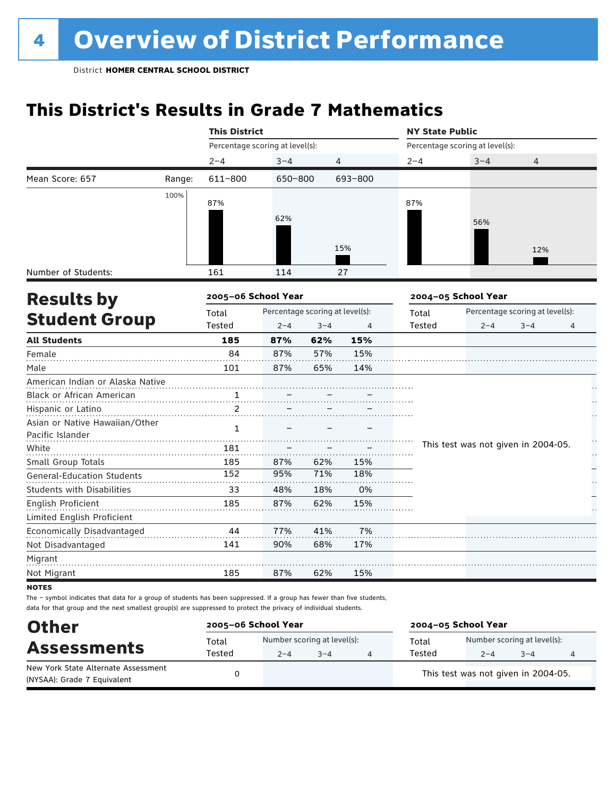## **This District's Results in Grade 7 Mathematics**

|                                   |        | <b>This District</b>                     |         |         |                | <b>NY State Public</b> |                                     |                                 |          |  |
|-----------------------------------|--------|------------------------------------------|---------|---------|----------------|------------------------|-------------------------------------|---------------------------------|----------|--|
|                                   |        | Percentage scoring at level(s):          |         |         |                |                        | Percentage scoring at level(s):     |                                 |          |  |
|                                   |        | $2 - 4$                                  | $3 - 4$ |         | $\overline{4}$ | $2 - 4$                | $3 - 4$                             | 4                               |          |  |
| Mean Score: 657                   | Range: | 611-800                                  | 650-800 |         | 693-800        |                        |                                     |                                 |          |  |
|                                   | 100%   | 87%                                      |         |         |                | 87%                    |                                     |                                 |          |  |
|                                   |        |                                          |         |         |                |                        |                                     |                                 |          |  |
|                                   |        |                                          | 62%     |         |                |                        | 56%                                 |                                 |          |  |
|                                   |        |                                          |         |         |                |                        |                                     |                                 |          |  |
|                                   |        |                                          |         |         | 15%            |                        |                                     | 12%                             |          |  |
| Number of Students:               |        | 161                                      | 114     |         | 27             |                        |                                     |                                 |          |  |
| <b>Results by</b>                 |        | 2005-06 School Year                      |         |         |                |                        | 2004-05 School Year                 |                                 |          |  |
|                                   |        | Percentage scoring at level(s):<br>Total |         |         |                | Total                  |                                     | Percentage scoring at level(s): |          |  |
| <b>Student Group</b>              |        | Tested                                   | $2 - 4$ | $3 - 4$ | 4              | Tested                 | $2 - 4$                             | $3 - 4$                         | 4        |  |
| <b>All Students</b>               |        | 185                                      | 87%     | 62%     | 15%            |                        |                                     |                                 |          |  |
| Female                            |        | 84                                       | 87%     | 57%     | 15%            |                        |                                     |                                 |          |  |
| Male                              |        | 101                                      | 87%     | 65%     | 14%            |                        |                                     |                                 |          |  |
| American Indian or Alaska Native  |        |                                          |         |         |                |                        |                                     |                                 |          |  |
| Black or African American         |        | 1                                        |         |         |                |                        |                                     |                                 |          |  |
| Hispanic or Latino                |        | $\overline{2}$                           |         |         |                |                        |                                     |                                 |          |  |
| Asian or Native Hawaiian/Other    |        | $\mathbf{1}$                             |         |         |                |                        |                                     |                                 |          |  |
| Pacific Islander                  |        |                                          |         |         |                |                        |                                     |                                 |          |  |
| White                             |        | 181                                      |         |         |                |                        | This test was not given in 2004-05. |                                 | Ì,<br>ŗ. |  |
| Small Group Totals                |        | 185                                      | 87%     | 62%     | 15%            |                        |                                     |                                 |          |  |
| <b>General-Education Students</b> |        | 152                                      | 95%     | 71%     | 18%            |                        |                                     |                                 |          |  |
| <b>Students with Disabilities</b> |        | 33                                       | 48%     | 18%     | 0%             |                        |                                     |                                 |          |  |
| English Proficient                |        | 185                                      | 87%     | 62%     | 15%            |                        |                                     |                                 |          |  |
| Limited English Proficient        |        |                                          |         |         |                |                        |                                     |                                 |          |  |
| Economically Disadvantaged        |        | 44                                       | 77%     | 41%     | 7%             |                        |                                     |                                 |          |  |
| Not Disadvantaged                 |        | 141                                      | 90%     | 68%     | 17%            |                        |                                     |                                 |          |  |
| Migrant                           |        |                                          |         |         |                |                        |                                     |                                 |          |  |
| Not Migrant                       |        | 185                                      | 87%     | 62%     | 15%            |                        |                                     |                                 |          |  |
| <b>NOTES</b>                      |        |                                          |         |         |                |                        |                                     |                                 |          |  |

| <b>Other</b>                                                       | 2005-06 School Year |                                        |         | 2004-05 School Year |                                        |         |   |  |
|--------------------------------------------------------------------|---------------------|----------------------------------------|---------|---------------------|----------------------------------------|---------|---|--|
| <b>Assessments</b>                                                 | Total<br>Tested     | Number scoring at level(s):<br>$2 - 4$ | $3 - 4$ | Total<br>Tested     | Number scoring at level(s):<br>$2 - 4$ | $3 - 4$ | 4 |  |
| New York State Alternate Assessment<br>(NYSAA): Grade 7 Equivalent |                     |                                        |         |                     | This test was not given in 2004-05.    |         |   |  |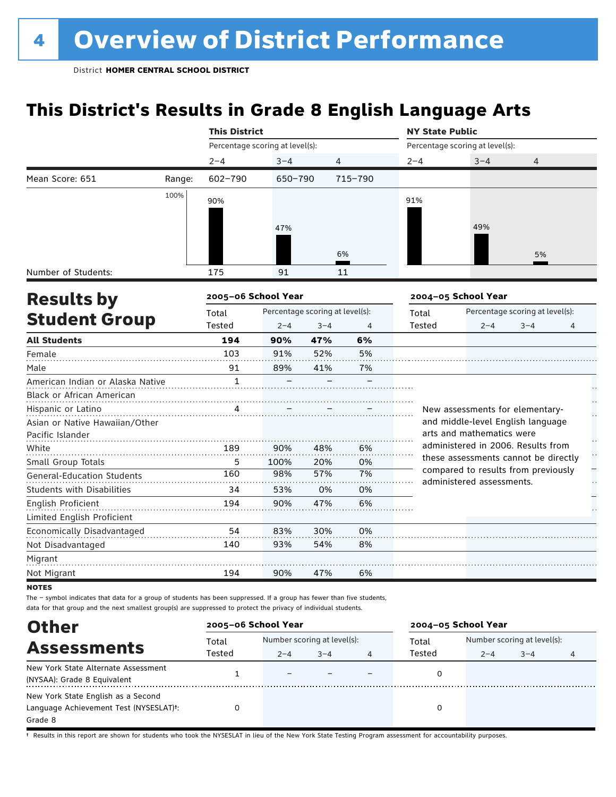## **This District's Results in Grade 8 English Language Arts**

|                                   |        | <b>This District</b>            |                                 |         |                | <b>NY State Public</b> |                                                                  |                                 |   |  |  |
|-----------------------------------|--------|---------------------------------|---------------------------------|---------|----------------|------------------------|------------------------------------------------------------------|---------------------------------|---|--|--|
|                                   |        | Percentage scoring at level(s): |                                 |         |                |                        | Percentage scoring at level(s):                                  |                                 |   |  |  |
|                                   |        | $2 - 4$                         | $3 - 4$                         | 4       |                | $2 - 4$                | $3 - 4$                                                          | 4                               |   |  |  |
| Mean Score: 651                   | Range: | $602 - 790$                     | 650-790                         |         | $715 - 790$    |                        |                                                                  |                                 |   |  |  |
|                                   | 100%   | 90%                             |                                 |         |                | 91%                    |                                                                  |                                 |   |  |  |
|                                   |        |                                 |                                 |         |                |                        |                                                                  |                                 |   |  |  |
|                                   |        |                                 | 47%                             |         |                |                        | 49%                                                              |                                 |   |  |  |
|                                   |        |                                 |                                 |         |                |                        |                                                                  |                                 |   |  |  |
|                                   |        |                                 |                                 |         | 6%             |                        |                                                                  | 5%                              |   |  |  |
| Number of Students:               |        | 175                             | 91                              |         | 11             |                        |                                                                  |                                 |   |  |  |
| <b>Results by</b>                 |        | 2005-06 School Year             |                                 |         |                |                        | 2004-05 School Year                                              |                                 |   |  |  |
|                                   |        | Total                           | Percentage scoring at level(s): |         |                | Total                  |                                                                  | Percentage scoring at level(s): |   |  |  |
| <b>Student Group</b>              |        | Tested                          | $2 - 4$                         | $3 - 4$ | $\overline{4}$ | Tested                 | $2 - 4$                                                          | $3 - 4$                         | 4 |  |  |
| <b>All Students</b>               |        | 194                             | 90%                             | 47%     | 6%             |                        |                                                                  |                                 |   |  |  |
| Female                            |        | 103                             | 91%                             | 52%     | 5%             |                        |                                                                  |                                 |   |  |  |
| Male                              |        | 91                              | 89%                             | 41%     | 7%             |                        |                                                                  |                                 |   |  |  |
| American Indian or Alaska Native  |        | $\mathbf{1}$                    |                                 |         |                |                        |                                                                  |                                 |   |  |  |
| Black or African American         |        |                                 |                                 |         |                |                        |                                                                  |                                 |   |  |  |
| Hispanic or Latino                |        |                                 |                                 |         |                |                        | New assessments for elementary-                                  |                                 |   |  |  |
| Asian or Native Hawaiian/Other    |        |                                 |                                 |         |                |                        | and middle-level English language                                |                                 |   |  |  |
| Pacific Islander                  |        |                                 |                                 |         |                |                        | arts and mathematics were                                        |                                 |   |  |  |
| White                             |        | 189                             | 90%                             | 48%     | 6%             |                        | administered in 2006. Results from                               |                                 | H |  |  |
| Small Group Totals                |        | 5                               | 100%                            | 20%     | 0%             |                        | these assessments cannot be directly                             |                                 |   |  |  |
| <b>General-Education Students</b> |        | 160                             | 98%                             | 57%     | 7%             |                        | compared to results from previously<br>administered assessments. |                                 |   |  |  |
| <b>Students with Disabilities</b> |        | 34                              | 53%                             | 0%      | 0%             |                        |                                                                  |                                 |   |  |  |
| <b>English Proficient</b>         |        | 194                             | 90%                             | 47%     | 6%             |                        |                                                                  |                                 |   |  |  |
| Limited English Proficient        |        |                                 |                                 |         |                |                        |                                                                  |                                 |   |  |  |
| Economically Disadvantaged        |        | 54                              | 83%                             | 30%     | 0%             |                        |                                                                  |                                 |   |  |  |
| Not Disadvantaged                 |        | 140                             | 93%                             | 54%     | 8%             |                        |                                                                  |                                 |   |  |  |
| Migrant                           |        |                                 |                                 |         |                |                        |                                                                  |                                 |   |  |  |
| Not Migrant                       |        | 194                             | 90%                             | 47%     | 6%             |                        |                                                                  |                                 |   |  |  |
| <b>NOTES</b>                      |        |                                 |                                 |         |                |                        |                                                                  |                                 |   |  |  |

The – symbol indicates that data for a group of students has been suppressed. If a group has fewer than five students, data for that group and the next smallest group(s) are suppressed to protect the privacy of individual students.

| <b>Other</b>                           | 2005-06 School Year |                             |         |   | 2004-05 School Year |                             |         |   |  |
|----------------------------------------|---------------------|-----------------------------|---------|---|---------------------|-----------------------------|---------|---|--|
| <b>Assessments</b>                     | Total               | Number scoring at level(s): |         |   | Total               | Number scoring at level(s): |         |   |  |
|                                        | Tested              | $2 - 4$                     | $3 - 4$ | 4 | Tested              | $2 - 4$                     | $3 - 4$ | 4 |  |
| New York State Alternate Assessment    |                     |                             |         |   |                     |                             |         |   |  |
| (NYSAA): Grade 8 Equivalent            |                     |                             |         |   |                     |                             |         |   |  |
| New York State English as a Second     |                     |                             |         |   |                     |                             |         |   |  |
| Language Achievement Test (NYSESLAT)t: |                     |                             |         |   |                     |                             |         |   |  |
| Grade 8                                |                     |                             |         |   |                     |                             |         |   |  |

† Results in this report are shown for students who took the NYSESLAT in lieu of the New York State Testing Program assessment for accountability purposes.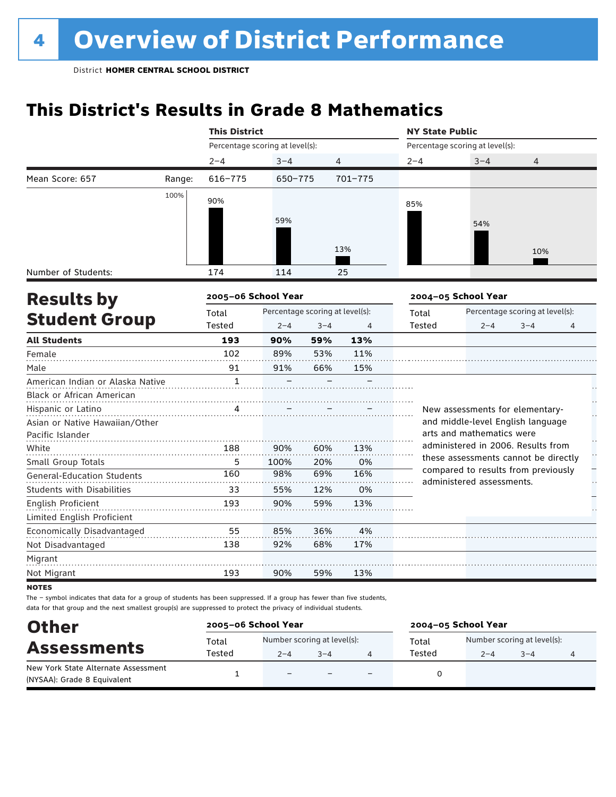## **This District's Results in Grade 8 Mathematics**

|                                   |        | <b>This District</b>            |                                 |         |         | <b>NY State Public</b>          |                                                                             |                                 |   |
|-----------------------------------|--------|---------------------------------|---------------------------------|---------|---------|---------------------------------|-----------------------------------------------------------------------------|---------------------------------|---|
|                                   |        | Percentage scoring at level(s): |                                 |         |         | Percentage scoring at level(s): |                                                                             |                                 |   |
|                                   |        | $2 - 4$                         | $3 - 4$                         |         | 4       | $2 - 4$                         | $3 - 4$                                                                     | 4                               |   |
| Mean Score: 657                   | Range: | $616 - 775$                     | 650-775                         |         | 701-775 |                                 |                                                                             |                                 |   |
|                                   | 100%   | 90%                             |                                 |         |         | 85%                             |                                                                             |                                 |   |
|                                   |        |                                 | 59%                             |         |         |                                 | 54%                                                                         |                                 |   |
|                                   |        |                                 |                                 |         |         |                                 |                                                                             |                                 |   |
|                                   |        |                                 |                                 |         | 13%     |                                 |                                                                             | 10%                             |   |
|                                   |        |                                 |                                 |         |         |                                 |                                                                             |                                 |   |
| Number of Students:               |        | 174                             | 114                             |         | 25      |                                 |                                                                             |                                 |   |
| <b>Results by</b>                 |        | 2005-06 School Year             |                                 |         |         |                                 | 2004-05 School Year                                                         |                                 |   |
|                                   |        | Total                           | Percentage scoring at level(s): |         |         | Total                           |                                                                             | Percentage scoring at level(s): |   |
| <b>Student Group</b>              |        | Tested                          | $2 - 4$                         | $3 - 4$ | 4       | <b>Tested</b>                   | $2 - 4$                                                                     | $3 - 4$                         | 4 |
| <b>All Students</b>               |        | 193                             | 90%                             | 59%     | 13%     |                                 |                                                                             |                                 |   |
| Female                            |        | 102                             | 89%                             | 53%     | 11%     |                                 |                                                                             |                                 |   |
| Male                              |        | 91                              | 91%                             | 66%     | 15%     |                                 |                                                                             |                                 |   |
| American Indian or Alaska Native  |        | $\mathbf{1}$                    |                                 |         |         |                                 |                                                                             |                                 |   |
| Black or African American         |        |                                 |                                 |         |         |                                 |                                                                             |                                 |   |
| Hispanic or Latino                |        | 4                               |                                 |         |         |                                 | New assessments for elementary-                                             |                                 |   |
| Asian or Native Hawaiian/Other    |        |                                 |                                 |         |         |                                 | and middle-level English language                                           |                                 |   |
| Pacific Islander                  |        |                                 |                                 |         |         |                                 | arts and mathematics were                                                   |                                 |   |
| White                             |        | 188                             | 90%                             | 60%     | 13%     |                                 | administered in 2006. Results from                                          |                                 |   |
| Small Group Totals                |        | 5                               | 100%                            | 20%     | 0%      |                                 | these assessments cannot be directly<br>compared to results from previously |                                 |   |
| <b>General-Education Students</b> |        | 160                             | 98%                             | 69%     | 16%     |                                 | administered assessments.                                                   |                                 |   |
| <b>Students with Disabilities</b> |        | 33                              | 55%                             | 12%     | 0%      |                                 |                                                                             |                                 |   |
| English Proficient                |        | 193                             | 90%                             | 59%     | 13%     |                                 |                                                                             |                                 |   |
| Limited English Proficient        |        |                                 |                                 |         |         |                                 |                                                                             |                                 |   |
| Economically Disadvantaged        |        | 55                              | 85%                             | 36%     | 4%      |                                 |                                                                             |                                 |   |
| Not Disadvantaged                 |        | 138                             | 92%                             | 68%     | 17%     |                                 |                                                                             |                                 |   |
| Migrant                           |        |                                 |                                 |         |         |                                 |                                                                             |                                 |   |
| Not Migrant                       |        | 193                             | 90%                             | 59%     | 13%     |                                 |                                                                             |                                 |   |
|                                   |        |                                 |                                 |         |         |                                 |                                                                             |                                 |   |

notes

| <b>Other</b><br><b>Assessments</b>                                 | 2005-06 School Year |                                        | 2004-05 School Year |                 |                                        |         |  |
|--------------------------------------------------------------------|---------------------|----------------------------------------|---------------------|-----------------|----------------------------------------|---------|--|
|                                                                    | Total<br>Tested     | Number scoring at level(s):<br>$2 - 4$ | $3 - 4$             | Total<br>Tested | Number scoring at level(s):<br>$2 - 4$ | $3 - 4$ |  |
| New York State Alternate Assessment<br>(NYSAA): Grade 8 Equivalent |                     | $\overline{\phantom{0}}$               |                     |                 |                                        |         |  |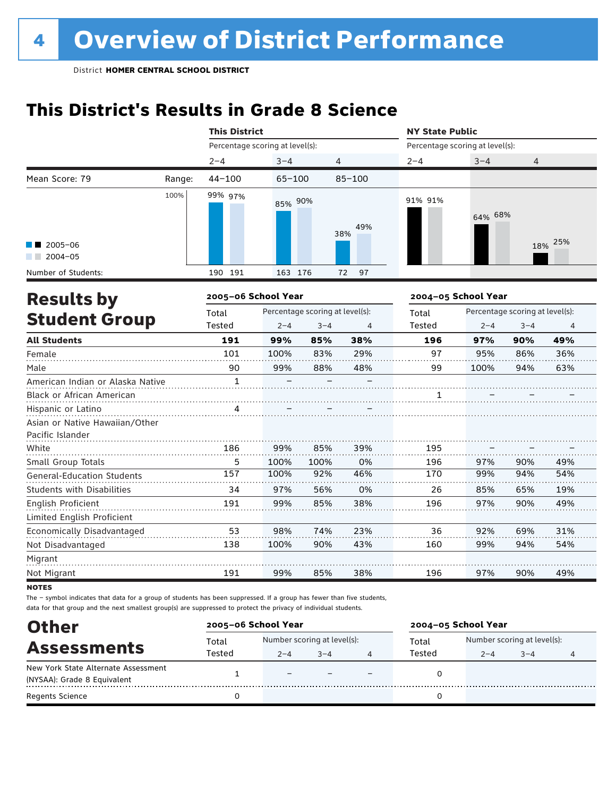## **This District's Results in Grade 8 Science**

|                                                    |        | <b>This District</b>            |            |                                 |            | <b>NY State Public</b>          |                     |                                 |     |
|----------------------------------------------------|--------|---------------------------------|------------|---------------------------------|------------|---------------------------------|---------------------|---------------------------------|-----|
|                                                    |        | Percentage scoring at level(s): |            |                                 |            | Percentage scoring at level(s): |                     |                                 |     |
|                                                    |        | $2 - 4$                         | $3 - 4$    |                                 | 4          | $2 - 4$                         | $3 - 4$             | 4                               |     |
| Mean Score: 79                                     | Range: | $44 - 100$                      | $65 - 100$ |                                 | $85 - 100$ |                                 |                     |                                 |     |
|                                                    | 100%   | 99% 97%                         | 85% 90%    |                                 | 49%<br>38% | 91% 91%                         | 64% 68%             |                                 |     |
| $\blacksquare$ 2005-06                             |        |                                 |            |                                 |            |                                 |                     | 18%                             | 25% |
| $2004 - 05$<br>Number of Students:                 |        | 190 191                         | 163 176    |                                 | 97<br>72   |                                 |                     |                                 |     |
|                                                    |        | 2005-06 School Year             |            |                                 |            |                                 | 2004-05 School Year |                                 |     |
| <b>Results by</b>                                  |        | Total                           |            | Percentage scoring at level(s): |            | Total                           |                     | Percentage scoring at level(s): |     |
| <b>Student Group</b>                               |        | Tested                          | $2 - 4$    | $3 - 4$                         | 4          | <b>Tested</b>                   | $2 - 4$             | $3 - 4$                         | 4   |
| <b>All Students</b>                                |        | 191                             | 99%        | 85%                             | 38%        | 196                             | 97%                 | 90%                             | 49% |
| Female                                             |        | 101                             | 100%       | 83%                             | 29%        | 97                              | 95%                 | 86%                             | 36% |
| Male                                               |        | 90                              | 99%        | 88%                             | 48%        | 99                              | 100%                | 94%                             | 63% |
| American Indian or Alaska Native                   |        | $\mathbf{1}$                    |            |                                 |            |                                 |                     |                                 |     |
| Black or African American                          |        |                                 |            |                                 |            | 1                               |                     |                                 |     |
| Hispanic or Latino                                 |        | 4                               |            |                                 |            |                                 |                     |                                 |     |
| Asian or Native Hawaiian/Other<br>Pacific Islander |        |                                 |            |                                 |            |                                 |                     |                                 |     |
| White                                              |        | 186                             | 99%        | 85%                             | 39%        | 195                             |                     |                                 |     |
| Small Group Totals                                 |        | 5                               | 100%       | 100%                            | 0%         | 196                             | 97%                 | 90%                             | 49% |
| <b>General-Education Students</b>                  |        | 157                             | 100%       | 92%                             | 46%        | 170                             | 99%                 | 94%                             | 54% |
| Students with Disabilities                         |        | 34                              | 97%        | 56%                             | 0%         | 26                              | 85%                 | 65%                             | 19% |
| <b>English Proficient</b>                          |        | 191                             | 99%        | 85%                             | 38%        | 196                             | 97%                 | 90%                             | 49% |
| Limited English Proficient                         |        |                                 |            |                                 |            |                                 |                     |                                 |     |
| Economically Disadvantaged                         |        | 53                              | 98%        | 74%                             | 23%        | 36                              | 92%                 | 69%                             | 31% |
| Not Disadvantaged                                  |        | 138                             | 100%       | 90%                             | 43%        | 160                             | 99%                 | 94%                             | 54% |
| Migrant                                            |        |                                 |            |                                 |            |                                 |                     |                                 |     |
| Not Migrant                                        |        | 191                             | 99%        | 85%                             | 38%        | 196                             | 97%                 | 90%                             | 49% |

**NOTES** 

| <b>Other</b>                        | 2005-06 School Year |                             |         |   | 2004-05 School Year |                             |         |  |
|-------------------------------------|---------------------|-----------------------------|---------|---|---------------------|-----------------------------|---------|--|
| <b>Assessments</b>                  | Total               | Number scoring at level(s): |         |   | Total               | Number scoring at level(s): |         |  |
|                                     | Tested              | $2 - 4$                     | $3 - 4$ | 4 | Tested              | $2 - 4$                     | $3 - 4$ |  |
| New York State Alternate Assessment |                     | $\overline{\phantom{0}}$    |         |   |                     |                             |         |  |
| (NYSAA): Grade 8 Equivalent         |                     |                             |         |   |                     |                             |         |  |
| <b>Regents Science</b>              |                     |                             |         |   |                     |                             |         |  |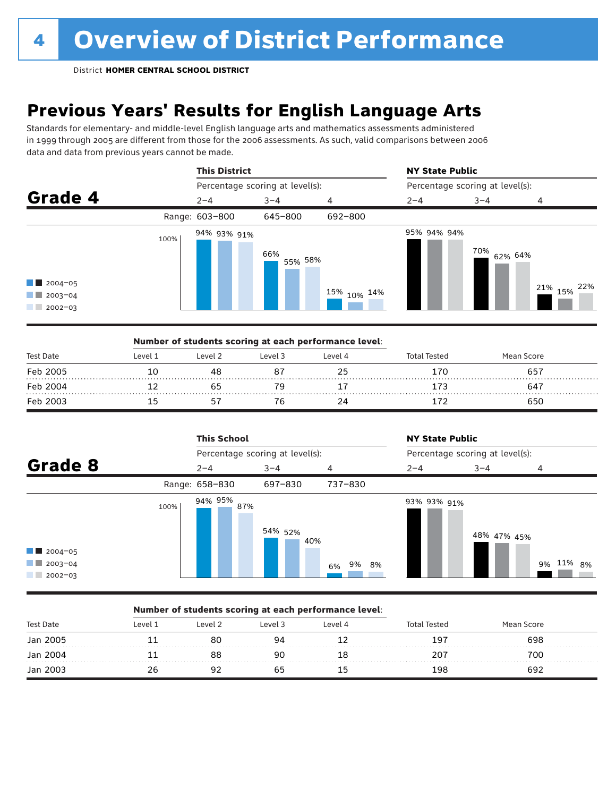## **Previous Years' Results for English Language Arts**

Standards for elementary- and middle-level English language arts and mathematics assessments administered in 1999 through 2005 are different from those for the 2006 assessments. As such, valid comparisons between 2006 data and data from previous years cannot be made.



|                  |         |         | Number of students scoring at each performance level: |         |              |            |  |
|------------------|---------|---------|-------------------------------------------------------|---------|--------------|------------|--|
| <b>Test Date</b> | Level 1 | Level 2 | Level 3                                               | Level 4 | Total Tested | Mean Score |  |
| Feb 2005         |         |         |                                                       |         | 170          | 657        |  |
| Feb 2004         |         |         |                                                       |         |              | 647        |  |
| Feb 2003         |         |         |                                                       |         |              | 650        |  |

|                                                                  |      | <b>This School</b> |                                 |             | <b>NY State Public</b>          |             |           |  |
|------------------------------------------------------------------|------|--------------------|---------------------------------|-------------|---------------------------------|-------------|-----------|--|
|                                                                  |      |                    | Percentage scoring at level(s): |             | Percentage scoring at level(s): |             |           |  |
| Grade 8                                                          |      | $2 - 4$            | $3 - 4$                         | 4           | $2 - 4$                         | $3 - 4$     | 4         |  |
|                                                                  |      | Range: 658-830     | 697-830                         | 737-830     |                                 |             |           |  |
| $\blacksquare$ 2004-05<br>$\blacksquare$ 2003-04<br>$12002 - 03$ | 100% | 94% 95%<br>87%     | 54% 52%<br>40%                  | 9% 8%<br>6% | 93% 93% 91%                     | 48% 47% 45% | 9% 11% 8% |  |

### Number of students scoring at each performance level:

| <b>Test Date</b> | Level 1 | Level 2 | Level 3 | Level 4 | Total Tested | Mean Score |  |
|------------------|---------|---------|---------|---------|--------------|------------|--|
| Jan 2005         |         | 80      | Q7      |         | 197          | 698        |  |
| Jan 2004         |         |         | 90      |         | 207          | 700        |  |
| Jan 2003         |         |         |         |         | 198          | 692        |  |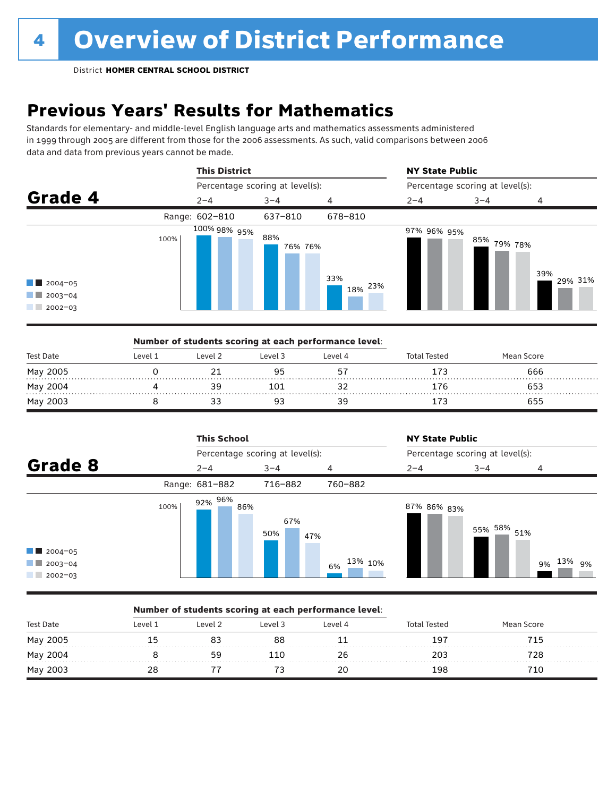## **Previous Years' Results for Mathematics**

Standards for elementary- and middle-level English language arts and mathematics assessments administered in 1999 through 2005 are different from those for the 2006 assessments. As such, valid comparisons between 2006 data and data from previous years cannot be made.



|           |         |         | Number of students scoring at each performance level: |         |                     |            |  |
|-----------|---------|---------|-------------------------------------------------------|---------|---------------------|------------|--|
| Test Date | Level 1 | Level 2 | Level 3                                               | Level 4 | <b>Total Tested</b> | Mean Score |  |
| May 2005  |         |         |                                                       |         |                     | 666        |  |
| May 2004  |         |         | 101                                                   |         | i Ch                | 653        |  |
| May 2003  |         |         |                                                       | 39      |                     | 655        |  |

|                                                                                  |      | <b>This School</b> |                                 |               | <b>NY State Public</b> |                                 |                 |  |  |
|----------------------------------------------------------------------------------|------|--------------------|---------------------------------|---------------|------------------------|---------------------------------|-----------------|--|--|
|                                                                                  |      |                    | Percentage scoring at level(s): |               |                        | Percentage scoring at level(s): |                 |  |  |
| Grade 8                                                                          |      | $2 - 4$            | $3 - 4$                         | 4             | $2 - 4$                | $3 - 4$                         | 4               |  |  |
|                                                                                  |      | Range: 681-882     | 716-882                         | 760-882       |                        |                                 |                 |  |  |
| $\blacksquare$ 2004-05<br>$\blacksquare$ 2003-04<br><b>CONTRACTOR</b><br>2002-03 | 100% | 92% 96%<br>86%     | 67%<br>50%<br>47%               | 13% 10%<br>6% | 87% 86% <sub>83%</sub> | 55% 58% 51%                     | 13%<br>9%<br>9% |  |  |

### Number of students scoring at each performance level:

| <b>Test Date</b> | Level 1 | Level 2 | Level 3 | Level 4 | intal Tested | Mean Score |  |
|------------------|---------|---------|---------|---------|--------------|------------|--|
| May 2005         | רי ו    |         | 88      |         | 197          | 715        |  |
| May 2004         |         | 59      | -10     | 26      | 203          | 728        |  |
| May 2003         | 28      |         |         | 20      | 198          | 710        |  |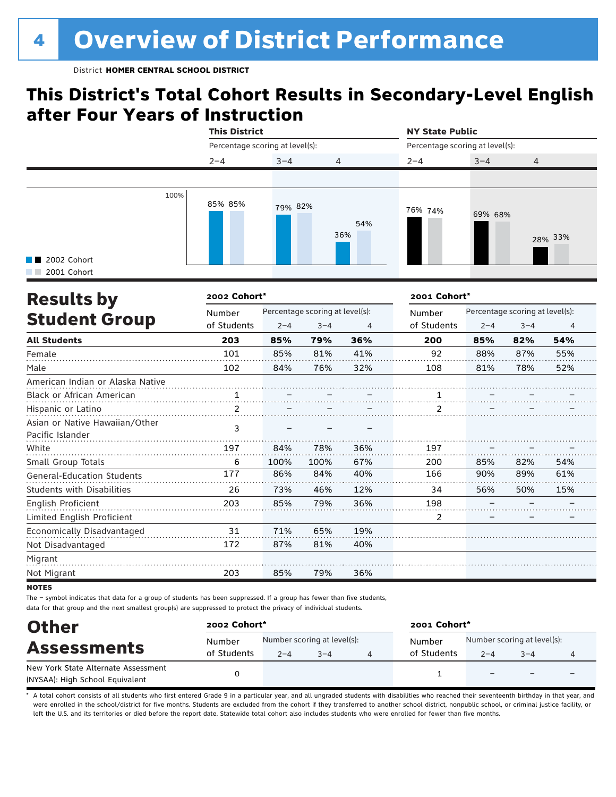## **This District's Total Cohort Results in Secondary-Level English after Four Years of Instruction**

|                            |      | <b>This District</b>            |         |                | <b>NY State Public</b><br>Percentage scoring at level(s): |         |                |  |
|----------------------------|------|---------------------------------|---------|----------------|-----------------------------------------------------------|---------|----------------|--|
|                            |      | Percentage scoring at level(s): |         |                |                                                           |         |                |  |
|                            |      | $2 - 4$                         | $3 - 4$ | $\overline{4}$ | $2 - 4$                                                   | $3 - 4$ | $\overline{4}$ |  |
|                            |      |                                 |         |                |                                                           |         |                |  |
| 2002 Cohort<br>2001 Cohort | 100% | 85% 85%                         | 79% 82% | 54%<br>36%     | 76% 74%                                                   | 69% 68% | 28% 33%        |  |

| <b>Results by</b>                 | 2002 Cohort*  |         |                                 |     | 2001 Cohort* |         |                                 |                |
|-----------------------------------|---------------|---------|---------------------------------|-----|--------------|---------|---------------------------------|----------------|
|                                   | Number        |         | Percentage scoring at level(s): |     | Number       |         | Percentage scoring at level(s): |                |
| <b>Student Group</b>              | of Students   | $2 - 4$ | $3 - 4$                         | 4   | of Students  | $2 - 4$ | $3 - 4$                         | $\overline{4}$ |
| <b>All Students</b>               | 203           | 85%     | 79%                             | 36% | 200          | 85%     | 82%                             | 54%            |
| Female                            | 101           | 85%     | 81%                             | 41% | 92           | 88%     | 87%                             | 55%            |
| Male                              | 102           | 84%     | 76%                             | 32% | 108          | 81%     | 78%                             | 52%            |
| American Indian or Alaska Native  |               |         |                                 |     |              |         |                                 |                |
| <b>Black or African American</b>  |               |         |                                 |     |              |         |                                 |                |
| Hispanic or Latino                | $\mathcal{P}$ |         |                                 |     | 2            |         |                                 |                |
| Asian or Native Hawaiian/Other    | 3             |         |                                 |     |              |         |                                 |                |
| Pacific Islander                  |               |         |                                 |     |              |         |                                 |                |
| White                             | 197           | 84%     | 78%                             | 36% | 197          |         |                                 |                |
| Small Group Totals                | 6             | 100%    | 100%                            | 67% | 200          | 85%     | 82%                             | 54%            |
| <b>General-Education Students</b> | 177           | 86%     | 84%                             | 40% | 166          | 90%     | 89%                             | 61%            |
| <b>Students with Disabilities</b> | 26            | 73%     | 46%                             | 12% | 34           | 56%     | 50%                             | 15%            |
| English Proficient                | 203           | 85%     | 79%                             | 36% | 198          |         |                                 |                |
| Limited English Proficient        |               |         |                                 |     | 2            |         |                                 |                |
| Economically Disadvantaged        | 31            | 71%     | 65%                             | 19% |              |         |                                 |                |
| Not Disadvantaged                 | 172           | 87%     | 81%                             | 40% |              |         |                                 |                |
| Migrant                           |               |         |                                 |     |              |         |                                 |                |
| Not Migrant                       | 203           | 85%     | 79%                             | 36% |              |         |                                 |                |

**NOTES** 

The – symbol indicates that data for a group of students has been suppressed. If a group has fewer than five students, data for that group and the next smallest group(s) are suppressed to protect the privacy of individual students.

| <b>Other</b>                        | 2002 Cohort* |                             |         |  | 2001 Cohort* |                             |                          |   |  |
|-------------------------------------|--------------|-----------------------------|---------|--|--------------|-----------------------------|--------------------------|---|--|
| <b>Assessments</b>                  | Number       | Number scoring at level(s): |         |  | Number       | Number scoring at level(s): |                          |   |  |
|                                     | of Students  | $2 - 4$                     | $3 - 4$ |  | of Students  | $2 - 4$                     | $3 - 4$                  | 4 |  |
| New York State Alternate Assessment |              |                             |         |  |              |                             | $\overline{\phantom{0}}$ |   |  |
| (NYSAA): High School Equivalent     |              |                             |         |  |              |                             |                          |   |  |

A total cohort consists of all students who first entered Grade 9 in a particular year, and all ungraded students with disabilities who reached their seventeenth birthday in that year, and were enrolled in the school/district for five months. Students are excluded from the cohort if they transferred to another school district, nonpublic school, or criminal justice facility, or left the U.S. and its territories or died before the report date. Statewide total cohort also includes students who were enrolled for fewer than five months.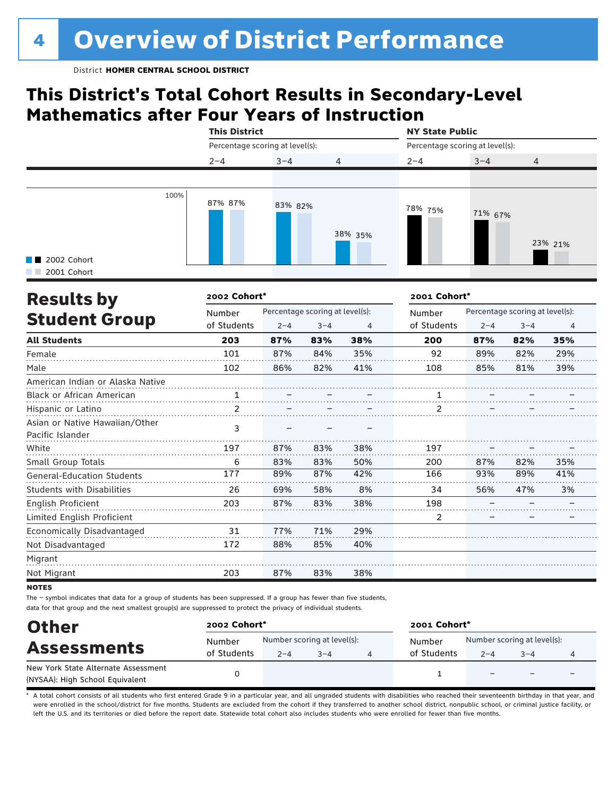## **This District's Total Cohort Results in Secondary-Level Mathematics after Four Years of Instruction**

|                            |      | <b>This District</b><br>Percentage scoring at level(s): |         |                | <b>NY State Public</b><br>Percentage scoring at level(s): |         |                |  |
|----------------------------|------|---------------------------------------------------------|---------|----------------|-----------------------------------------------------------|---------|----------------|--|
|                            |      |                                                         |         |                |                                                           |         |                |  |
|                            |      | $2 - 4$                                                 | $3 - 4$ | $\overline{4}$ | $2 - 4$                                                   | $3 - 4$ | $\overline{4}$ |  |
|                            |      |                                                         |         |                |                                                           |         |                |  |
| 2002 Cohort<br>2001 Cohort | 100% | 87% 87%                                                 | 83% 82% | 38% 35%        | 78% 75%                                                   | 71% 67% | 23% 21%        |  |

| <b>Results by</b>                                  | 2002 Cohort* |         | 2001 Cohort*                    |     |                |                                 |         |     |  |
|----------------------------------------------------|--------------|---------|---------------------------------|-----|----------------|---------------------------------|---------|-----|--|
|                                                    | Number       |         | Percentage scoring at level(s): |     |                | Percentage scoring at level(s): |         |     |  |
| <b>Student Group</b>                               | of Students  | $2 - 4$ | $3 - 4$                         | 4   | of Students    | $2 - 4$                         | $3 - 4$ | 4   |  |
| <b>All Students</b>                                | 203          | 87%     | 83%                             | 38% | 200            | 87%                             | 82%     | 35% |  |
| Female                                             | 101          | 87%     | 84%                             | 35% | 92             | 89%                             | 82%     | 29% |  |
| Male                                               | 102          | 86%     | 82%                             | 41% | 108            | 85%                             | 81%     | 39% |  |
| American Indian or Alaska Native                   |              |         |                                 |     |                |                                 |         |     |  |
| <b>Black or African American</b>                   |              |         |                                 |     |                |                                 |         |     |  |
| Hispanic or Latino                                 | 2            |         |                                 |     | 2              |                                 |         |     |  |
| Asian or Native Hawaiian/Other<br>Pacific Islander | 3            |         |                                 |     |                |                                 |         |     |  |
| White                                              | 197          | 87%     | 83%                             | 38% | 197            |                                 |         |     |  |
| Small Group Totals                                 | 6            | 83%     | 83%                             | 50% | 200            | 87%                             | 82%     | 35% |  |
| <b>General-Education Students</b>                  | 177          | 89%     | 87%                             | 42% | 166            | 93%                             | 89%     | 41% |  |
| <b>Students with Disabilities</b>                  | 26           | 69%     | 58%                             | 8%  | 34             | 56%                             | 47%     | 3%  |  |
| English Proficient                                 | 203          | 87%     | 83%                             | 38% | 198            |                                 |         |     |  |
| Limited English Proficient                         |              |         |                                 |     | $\overline{2}$ |                                 |         |     |  |
| Economically Disadvantaged                         | 31           | 77%     | 71%                             | 29% |                |                                 |         |     |  |
| Not Disadvantaged                                  | 172          | 88%     | 85%                             | 40% |                |                                 |         |     |  |
| Migrant                                            |              |         |                                 |     |                |                                 |         |     |  |
| Not Migrant                                        | 203          | 87%     | 83%                             | 38% |                |                                 |         |     |  |

**NOTES** 

The – symbol indicates that data for a group of students has been suppressed. If a group has fewer than five students, data for that group and the next smallest group(s) are suppressed to protect the privacy of individual students.

| <b>Other</b>                                                           |             | 2002 Cohort*                |         |  |             | 2001 Cohort*                |                          |   |  |  |  |
|------------------------------------------------------------------------|-------------|-----------------------------|---------|--|-------------|-----------------------------|--------------------------|---|--|--|--|
| <b>Assessments</b>                                                     | Number      | Number scoring at level(s): |         |  | Number      | Number scoring at level(s): |                          |   |  |  |  |
|                                                                        | of Students | $2 - 4$                     | $3 - 4$ |  | of Students | $2 - 4$                     | $3 - 4$                  | 4 |  |  |  |
| New York State Alternate Assessment<br>(NYSAA): High School Equivalent |             |                             |         |  |             |                             | $\overline{\phantom{0}}$ |   |  |  |  |

A total cohort consists of all students who first entered Grade 9 in a particular year, and all ungraded students with disabilities who reached their seventeenth birthday in that year, and were enrolled in the school/district for five months. Students are excluded from the cohort if they transferred to another school district, nonpublic school, or criminal justice facility, or left the U.S. and its territories or died before the report date. Statewide total cohort also includes students who were enrolled for fewer than five months.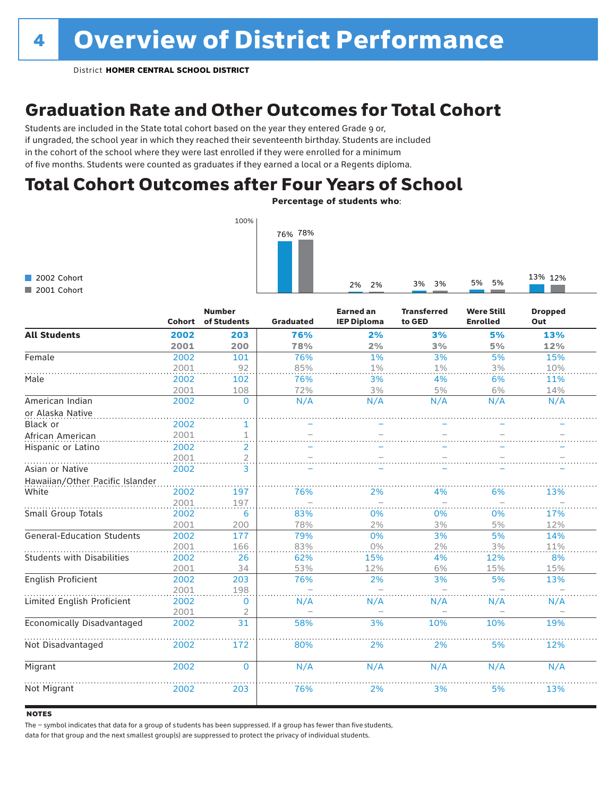## Graduation Rate and Other Outcomes for Total Cohort

Students are included in the State total cohort based on the year they entered Grade 9 or, if ungraded, the school year in which they reached their seventeenth birthday. Students are included in the cohort of the school where they were last enrolled if they were enrolled for a minimum of five months. Students were counted as graduates if they earned a local or a Regents diploma.

## Total Cohort Outcomes after Four Years of School

Percentage of students who:



|  | 2002 Cohort |
|--|-------------|
|  | 2001 Cohort |

|                                   | <b>Cohort</b> | <b>Number</b><br>of Students | <b>Graduated</b> | <b>Earned an</b><br><b>IEP Diploma</b> | <b>Transferred</b><br>to GED | <b>Were Still</b><br><b>Enrolled</b> | <b>Dropped</b><br>Out |
|-----------------------------------|---------------|------------------------------|------------------|----------------------------------------|------------------------------|--------------------------------------|-----------------------|
| <b>All Students</b>               | 2002          | 203                          | 76%              | 2%                                     | 3%                           | 5%                                   | 13%                   |
|                                   | 2001          | 200                          | 78%              | 2%                                     | 3%                           | 5%                                   | 12%                   |
| Female                            | 2002          | 101                          | 76%              | 1%                                     | 3%                           | 5%                                   | 15%                   |
|                                   | 2001          | 92                           | 85%              | 1%                                     | 1%                           | 3%                                   | 10%                   |
| Male                              | 2002          | 102                          | 76%              | 3%                                     | 4%                           | 6%                                   | 11%                   |
|                                   | 2001          | 108                          | 72%              | 3%                                     | 5%                           | 6%                                   | 14%                   |
| American Indian                   | 2002          | $\mathbf 0$                  | N/A              | N/A                                    | N/A                          | N/A                                  | N/A                   |
| or Alaska Native                  |               |                              |                  |                                        |                              |                                      |                       |
| Black or                          | 2002          | 1                            |                  |                                        |                              |                                      |                       |
| African American                  | 2001          | $\mathbf 1$                  |                  |                                        |                              |                                      |                       |
| Hispanic or Latino                | 2002          | 2                            |                  |                                        |                              |                                      |                       |
|                                   | 2001          | $\overline{a}$               |                  |                                        |                              |                                      |                       |
| Asian or Native                   | 2002          | 3                            |                  |                                        |                              |                                      |                       |
| Hawaiian/Other Pacific Islander   |               |                              |                  |                                        |                              |                                      |                       |
| White                             | 2002          | 197                          | 76%              | 2%                                     | 4%                           | 6%                                   | 13%                   |
|                                   | 2001          | 197                          |                  |                                        |                              |                                      |                       |
| Small Group Totals                | 2002          | 6                            | 83%              | 0%                                     | 0%                           | 0%                                   | 17%                   |
|                                   | 2001          | 200                          | 78%              | 2%                                     | 3%                           | 5%                                   | 12%                   |
| <b>General-Education Students</b> | 2002          | 177                          | 79%              | 0%                                     | 3%                           | 5%                                   | 14%                   |
|                                   | 2001          | 166                          | 83%              | 0%                                     | 2%                           | 3%                                   | 11%                   |
| <b>Students with Disabilities</b> | 2002          | 26                           | 62%              | 15%                                    | 4%                           | 12%                                  | 8%                    |
|                                   | 2001          | 34                           | 53%              | 12%                                    | 6%                           | 15%                                  | 15%                   |
| English Proficient                | 2002          | 203                          | 76%              | 2%                                     | 3%                           | 5%                                   | 13%                   |
|                                   | 2001          | 198                          |                  |                                        |                              |                                      |                       |
| Limited English Proficient        | 2002          | 0                            | N/A              | N/A                                    | N/A                          | N/A                                  | N/A                   |
|                                   | 2001          | 2                            |                  |                                        |                              |                                      |                       |
| Economically Disadvantaged        | 2002          | 31                           | 58%              | 3%                                     | 10%                          | 10%                                  | 19%                   |
| Not Disadvantaged                 | 2002          | 172                          | 80%              | 2%                                     | 2%                           | 5%                                   | 12%                   |
| Migrant                           | 2002          | $\Omega$                     | N/A              | N/A                                    | N/A                          | N/A                                  | N/A                   |
| Not Migrant                       | 2002          | 203                          | 76%              | 2%                                     | 3%                           | 5%                                   | 13%                   |

### **NOTES**

The – symbol indicates that data for a group of s tudents has been suppressed. If a group has fewer than five students,

data for that group and the next smallest group(s) are suppressed to protect the privacy of individual students.